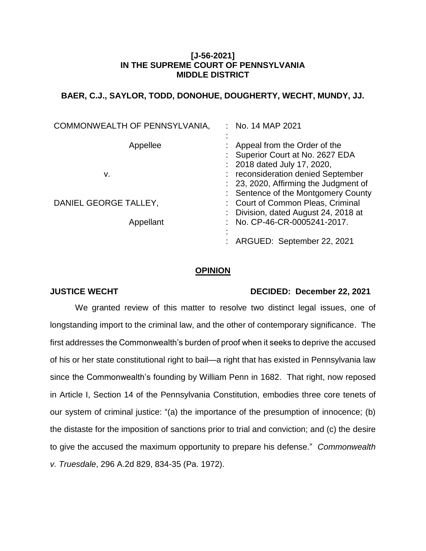## **[J-56-2021] IN THE SUPREME COURT OF PENNSYLVANIA MIDDLE DISTRICT**

# **BAER, C.J., SAYLOR, TODD, DONOHUE, DOUGHERTY, WECHT, MUNDY, JJ.**

| COMMONWEALTH OF PENNSYLVANIA, | : No. 14 MAP 2021                   |
|-------------------------------|-------------------------------------|
| Appellee                      | Appeal from the Order of the        |
|                               | Superior Court at No. 2627 EDA      |
|                               | : 2018 dated July 17, 2020,         |
| v.                            | reconsideration denied September    |
|                               | 23, 2020, Affirming the Judgment of |
|                               | Sentence of the Montgomery County   |
| DANIEL GEORGE TALLEY,         | : Court of Common Pleas, Criminal   |
|                               | Division, dated August 24, 2018 at  |
| Appellant                     | No. CP-46-CR-0005241-2017.          |
|                               |                                     |
|                               | ARGUED: September 22, 2021          |

#### **OPINION**

## **JUSTICE WECHT DECIDED: December 22, 2021**

We granted review of this matter to resolve two distinct legal issues, one of longstanding import to the criminal law, and the other of contemporary significance. The first addresses the Commonwealth's burden of proof when it seeks to deprive the accused of his or her state constitutional right to bail—a right that has existed in Pennsylvania law since the Commonwealth's founding by William Penn in 1682. That right, now reposed in Article I, Section 14 of the Pennsylvania Constitution, embodies three core tenets of our system of criminal justice: "(a) the importance of the presumption of innocence; (b) the distaste for the imposition of sanctions prior to trial and conviction; and (c) the desire to give the accused the maximum opportunity to prepare his defense." *Commonwealth v. Truesdale*, 296 A.2d 829, 834-35 (Pa. 1972).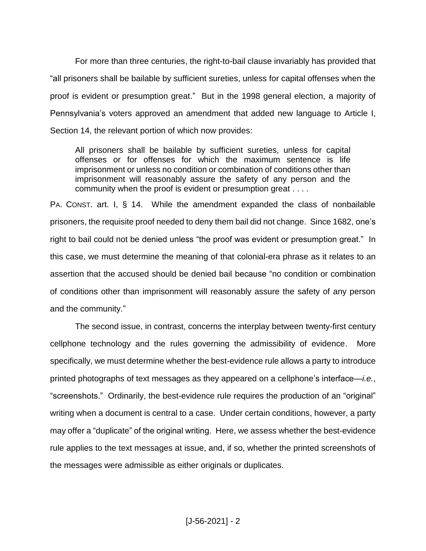For more than three centuries, the right-to-bail clause invariably has provided that "all prisoners shall be bailable by sufficient sureties, unless for capital offenses when the proof is evident or presumption great." But in the 1998 general election, a majority of Pennsylvania's voters approved an amendment that added new language to Article I, Section 14, the relevant portion of which now provides:

All prisoners shall be bailable by sufficient sureties, unless for capital offenses or for offenses for which the maximum sentence is life imprisonment or unless no condition or combination of conditions other than imprisonment will reasonably assure the safety of any person and the community when the proof is evident or presumption great . . . .

PA. CONST. art. I, § 14. While the amendment expanded the class of nonbailable prisoners, the requisite proof needed to deny them bail did not change. Since 1682, one's right to bail could not be denied unless "the proof was evident or presumption great." In this case, we must determine the meaning of that colonial-era phrase as it relates to an assertion that the accused should be denied bail because "no condition or combination of conditions other than imprisonment will reasonably assure the safety of any person and the community."

The second issue, in contrast, concerns the interplay between twenty-first century cellphone technology and the rules governing the admissibility of evidence. More specifically, we must determine whether the best-evidence rule allows a party to introduce printed photographs of text messages as they appeared on a cellphone's interface—*i.e.*, "screenshots." Ordinarily, the best-evidence rule requires the production of an "original" writing when a document is central to a case. Under certain conditions, however, a party may offer a "duplicate" of the original writing. Here, we assess whether the best-evidence rule applies to the text messages at issue, and, if so, whether the printed screenshots of the messages were admissible as either originals or duplicates.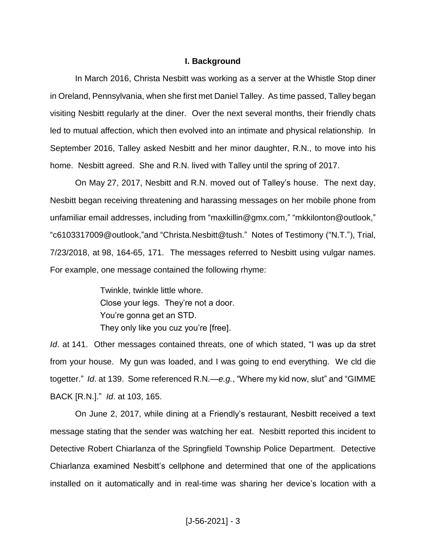#### **I. Background**

In March 2016, Christa Nesbitt was working as a server at the Whistle Stop diner in Oreland, Pennsylvania, when she first met Daniel Talley. As time passed, Talley began visiting Nesbitt regularly at the diner. Over the next several months, their friendly chats led to mutual affection, which then evolved into an intimate and physical relationship. In September 2016, Talley asked Nesbitt and her minor daughter, R.N., to move into his home. Nesbitt agreed. She and R.N. lived with Talley until the spring of 2017.

On May 27, 2017, Nesbitt and R.N. moved out of Talley's house. The next day, Nesbitt began receiving threatening and harassing messages on her mobile phone from unfamiliar email addresses, including from "maxkillin@gmx.com," "mkkilonton@outlook," "c6103317009@outlook,"and "Christa.Nesbitt@tush." Notes of Testimony ("N.T."), Trial, 7/23/2018, at 98, 164-65, 171. The messages referred to Nesbitt using vulgar names. For example, one message contained the following rhyme:

> Twinkle, twinkle little whore. Close your legs. They're not a door. You're gonna get an STD. They only like you cuz you're [free].

*Id*. at 141. Other messages contained threats, one of which stated, "I was up da stret from your house. My gun was loaded, and I was going to end everything. We cld die togetter." *Id*. at 139. Some referenced R.N.—*e.g.*, "Where my kid now, slut" and "GIMME BACK [R.N.]." *Id*. at 103, 165.

On June 2, 2017, while dining at a Friendly's restaurant, Nesbitt received a text message stating that the sender was watching her eat. Nesbitt reported this incident to Detective Robert Chiarlanza of the Springfield Township Police Department. Detective Chiarlanza examined Nesbitt's cellphone and determined that one of the applications installed on it automatically and in real-time was sharing her device's location with a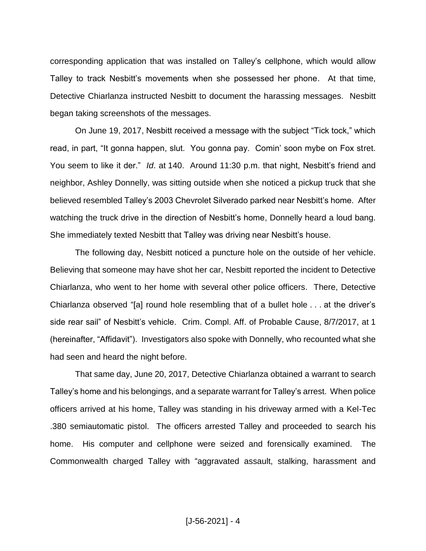corresponding application that was installed on Talley's cellphone, which would allow Talley to track Nesbitt's movements when she possessed her phone. At that time, Detective Chiarlanza instructed Nesbitt to document the harassing messages. Nesbitt began taking screenshots of the messages.

On June 19, 2017, Nesbitt received a message with the subject "Tick tock," which read, in part, "It gonna happen, slut. You gonna pay. Comin' soon mybe on Fox stret. You seem to like it der." *Id*. at 140. Around 11:30 p.m. that night, Nesbitt's friend and neighbor, Ashley Donnelly, was sitting outside when she noticed a pickup truck that she believed resembled Talley's 2003 Chevrolet Silverado parked near Nesbitt's home. After watching the truck drive in the direction of Nesbitt's home, Donnelly heard a loud bang. She immediately texted Nesbitt that Talley was driving near Nesbitt's house.

The following day, Nesbitt noticed a puncture hole on the outside of her vehicle. Believing that someone may have shot her car, Nesbitt reported the incident to Detective Chiarlanza, who went to her home with several other police officers. There, Detective Chiarlanza observed "[a] round hole resembling that of a bullet hole . . . at the driver's side rear sail" of Nesbitt's vehicle. Crim. Compl. Aff. of Probable Cause, 8/7/2017, at 1 (hereinafter, "Affidavit"). Investigators also spoke with Donnelly, who recounted what she had seen and heard the night before.

That same day, June 20, 2017, Detective Chiarlanza obtained a warrant to search Talley's home and his belongings, and a separate warrant for Talley's arrest. When police officers arrived at his home, Talley was standing in his driveway armed with a Kel-Tec .380 semiautomatic pistol. The officers arrested Talley and proceeded to search his home. His computer and cellphone were seized and forensically examined. The Commonwealth charged Talley with "aggravated assault, stalking, harassment and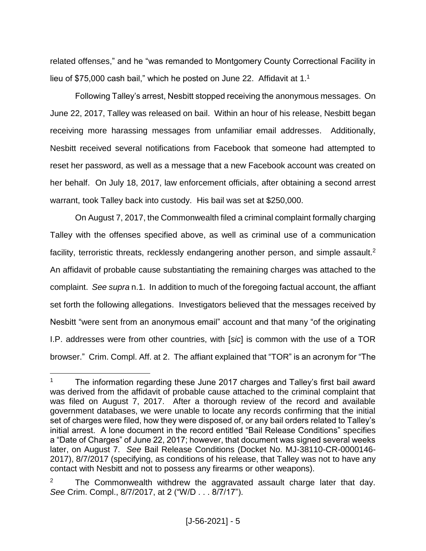related offenses," and he "was remanded to Montgomery County Correctional Facility in lieu of \$75,000 cash bail," which he posted on June 22. Affidavit at 1.<sup>1</sup>

Following Talley's arrest, Nesbitt stopped receiving the anonymous messages. On June 22, 2017, Talley was released on bail. Within an hour of his release, Nesbitt began receiving more harassing messages from unfamiliar email addresses. Additionally, Nesbitt received several notifications from Facebook that someone had attempted to reset her password, as well as a message that a new Facebook account was created on her behalf. On July 18, 2017, law enforcement officials, after obtaining a second arrest warrant, took Talley back into custody. His bail was set at \$250,000.

On August 7, 2017, the Commonwealth filed a criminal complaint formally charging Talley with the offenses specified above, as well as criminal use of a communication facility, terroristic threats, recklessly endangering another person, and simple assault.<sup>2</sup> An affidavit of probable cause substantiating the remaining charges was attached to the complaint. *See supra* n.1. In addition to much of the foregoing factual account, the affiant set forth the following allegations. Investigators believed that the messages received by Nesbitt "were sent from an anonymous email" account and that many "of the originating I.P. addresses were from other countries, with [*sic*] is common with the use of a TOR browser." Crim. Compl. Aff. at 2. The affiant explained that "TOR" is an acronym for "The

The information regarding these June 2017 charges and Talley's first bail award was derived from the affidavit of probable cause attached to the criminal complaint that was filed on August 7, 2017. After a thorough review of the record and available government databases, we were unable to locate any records confirming that the initial set of charges were filed, how they were disposed of, or any bail orders related to Talley's initial arrest. A lone document in the record entitled "Bail Release Conditions" specifies a "Date of Charges" of June 22, 2017; however, that document was signed several weeks later, on August 7. *See* Bail Release Conditions (Docket No. MJ-38110-CR-0000146- 2017), 8/7/2017 (specifying, as conditions of his release, that Talley was not to have any contact with Nesbitt and not to possess any firearms or other weapons).

The Commonwealth withdrew the aggravated assault charge later that day. *See* Crim. Compl., 8/7/2017, at 2 ("W/D . . . 8/7/17").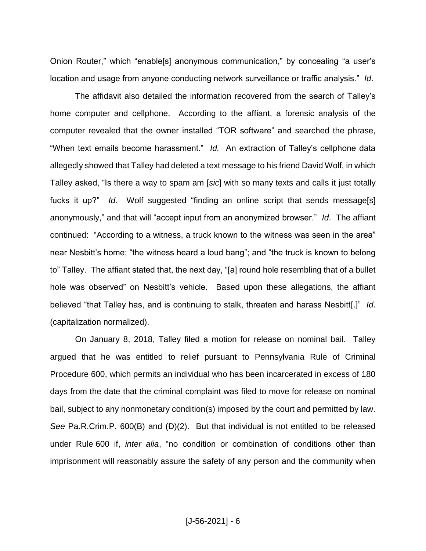Onion Router," which "enable[s] anonymous communication," by concealing "a user's location and usage from anyone conducting network surveillance or traffic analysis." *Id*.

The affidavit also detailed the information recovered from the search of Talley's home computer and cellphone. According to the affiant, a forensic analysis of the computer revealed that the owner installed "TOR software" and searched the phrase, "When text emails become harassment." *Id.* An extraction of Talley's cellphone data allegedly showed that Talley had deleted a text message to his friend David Wolf, in which Talley asked, "Is there a way to spam am [*sic*] with so many texts and calls it just totally fucks it up?" *Id*. Wolf suggested "finding an online script that sends message[s] anonymously," and that will "accept input from an anonymized browser." *Id*. The affiant continued: "According to a witness, a truck known to the witness was seen in the area" near Nesbitt's home; "the witness heard a loud bang"; and "the truck is known to belong to" Talley. The affiant stated that, the next day, "[a] round hole resembling that of a bullet hole was observed" on Nesbitt's vehicle. Based upon these allegations, the affiant believed "that Talley has, and is continuing to stalk, threaten and harass Nesbitt[.]" *Id*. (capitalization normalized).

On January 8, 2018, Talley filed a motion for release on nominal bail. Talley argued that he was entitled to relief pursuant to Pennsylvania Rule of Criminal Procedure 600, which permits an individual who has been incarcerated in excess of 180 days from the date that the criminal complaint was filed to move for release on nominal bail, subject to any nonmonetary condition(s) imposed by the court and permitted by law. *See* Pa.R.Crim.P. 600(B) and (D)(2). But that individual is not entitled to be released under Rule 600 if, *inter alia*, "no condition or combination of conditions other than imprisonment will reasonably assure the safety of any person and the community when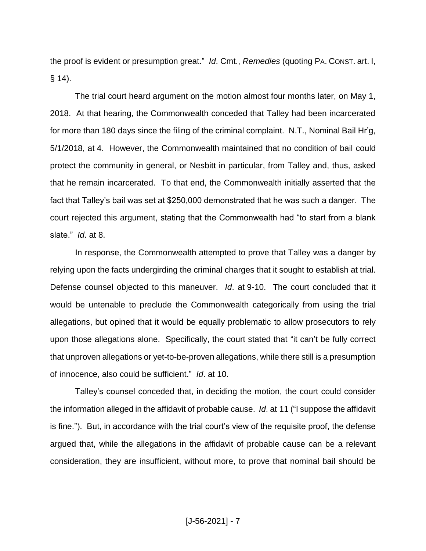the proof is evident or presumption great." *Id*. Cmt., *Remedies* (quoting PA. CONST. art. I,  $§ 14$ ).

The trial court heard argument on the motion almost four months later, on May 1, 2018. At that hearing, the Commonwealth conceded that Talley had been incarcerated for more than 180 days since the filing of the criminal complaint. N.T., Nominal Bail Hr'g, 5/1/2018, at 4. However, the Commonwealth maintained that no condition of bail could protect the community in general, or Nesbitt in particular, from Talley and, thus, asked that he remain incarcerated. To that end, the Commonwealth initially asserted that the fact that Talley's bail was set at \$250,000 demonstrated that he was such a danger. The court rejected this argument, stating that the Commonwealth had "to start from a blank slate." *Id*. at 8.

In response, the Commonwealth attempted to prove that Talley was a danger by relying upon the facts undergirding the criminal charges that it sought to establish at trial. Defense counsel objected to this maneuver. *Id*. at 9-10. The court concluded that it would be untenable to preclude the Commonwealth categorically from using the trial allegations, but opined that it would be equally problematic to allow prosecutors to rely upon those allegations alone. Specifically, the court stated that "it can't be fully correct that unproven allegations or yet-to-be-proven allegations, while there still is a presumption of innocence, also could be sufficient." *Id*. at 10.

Talley's counsel conceded that, in deciding the motion, the court could consider the information alleged in the affidavit of probable cause. *Id*. at 11 ("I suppose the affidavit is fine."). But, in accordance with the trial court's view of the requisite proof, the defense argued that, while the allegations in the affidavit of probable cause can be a relevant consideration, they are insufficient, without more, to prove that nominal bail should be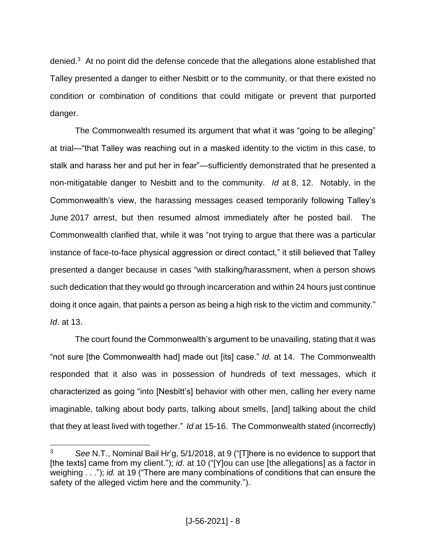denied.<sup>3</sup> At no point did the defense concede that the allegations alone established that Talley presented a danger to either Nesbitt or to the community, or that there existed no condition or combination of conditions that could mitigate or prevent that purported danger.

The Commonwealth resumed its argument that what it was "going to be alleging" at trial—"that Talley was reaching out in a masked identity to the victim in this case, to stalk and harass her and put her in fear"—sufficiently demonstrated that he presented a non-mitigatable danger to Nesbitt and to the community. *Id* at 8, 12. Notably, in the Commonwealth's view, the harassing messages ceased temporarily following Talley's June 2017 arrest, but then resumed almost immediately after he posted bail. The Commonwealth clarified that, while it was "not trying to argue that there was a particular instance of face-to-face physical aggression or direct contact," it still believed that Talley presented a danger because in cases "with stalking/harassment, when a person shows such dedication that they would go through incarceration and within 24 hours just continue doing it once again, that paints a person as being a high risk to the victim and community." *Id*. at 13.

The court found the Commonwealth's argument to be unavailing, stating that it was "not sure [the Commonwealth had] made out [its] case." *Id*. at 14. The Commonwealth responded that it also was in possession of hundreds of text messages, which it characterized as going "into [Nesbitt's] behavior with other men, calling her every name imaginable, talking about body parts, talking about smells, [and] talking about the child that they at least lived with together." *Id* at 15-16. The Commonwealth stated (incorrectly)

 $\overline{a}$ <sup>3</sup> *See* N.T., Nominal Bail Hr'g, 5/1/2018, at 9 ("[T]here is no evidence to support that [the texts] came from my client."); *id*. at 10 ("[Y]ou can use [the allegations] as a factor in weighing . . ."); *id.* at 19 ("There are many combinations of conditions that can ensure the safety of the alleged victim here and the community.").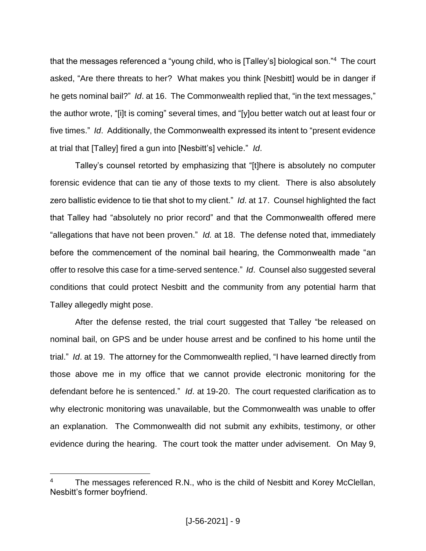that the messages referenced a "young child, who is [Talley's] biological son."<sup>4</sup> The court asked, "Are there threats to her? What makes you think [Nesbitt] would be in danger if he gets nominal bail?" *Id*. at 16. The Commonwealth replied that, "in the text messages," the author wrote, "[i]t is coming" several times, and "[y]ou better watch out at least four or five times." *Id*. Additionally, the Commonwealth expressed its intent to "present evidence at trial that [Talley] fired a gun into [Nesbitt's] vehicle." *Id*.

Talley's counsel retorted by emphasizing that "[t]here is absolutely no computer forensic evidence that can tie any of those texts to my client. There is also absolutely zero ballistic evidence to tie that shot to my client." *Id*. at 17. Counsel highlighted the fact that Talley had "absolutely no prior record" and that the Commonwealth offered mere "allegations that have not been proven." *Id.* at 18. The defense noted that, immediately before the commencement of the nominal bail hearing, the Commonwealth made "an offer to resolve this case for a time-served sentence." *Id*. Counsel also suggested several conditions that could protect Nesbitt and the community from any potential harm that Talley allegedly might pose.

After the defense rested, the trial court suggested that Talley "be released on nominal bail, on GPS and be under house arrest and be confined to his home until the trial." *Id*. at 19. The attorney for the Commonwealth replied, "I have learned directly from those above me in my office that we cannot provide electronic monitoring for the defendant before he is sentenced." *Id*. at 19-20. The court requested clarification as to why electronic monitoring was unavailable, but the Commonwealth was unable to offer an explanation. The Commonwealth did not submit any exhibits, testimony, or other evidence during the hearing. The court took the matter under advisement. On May 9,

The messages referenced R.N., who is the child of Nesbitt and Korey McClellan, Nesbitt's former boyfriend.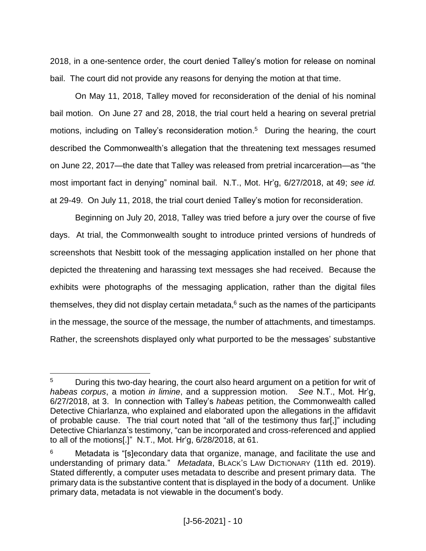2018, in a one-sentence order, the court denied Talley's motion for release on nominal bail. The court did not provide any reasons for denying the motion at that time.

On May 11, 2018, Talley moved for reconsideration of the denial of his nominal bail motion. On June 27 and 28, 2018, the trial court held a hearing on several pretrial motions, including on Talley's reconsideration motion.<sup>5</sup> During the hearing, the court described the Commonwealth's allegation that the threatening text messages resumed on June 22, 2017—the date that Talley was released from pretrial incarceration—as "the most important fact in denying" nominal bail. N.T., Mot. Hr'g, 6/27/2018, at 49; *see id.* at 29-49. On July 11, 2018, the trial court denied Talley's motion for reconsideration.

Beginning on July 20, 2018, Talley was tried before a jury over the course of five days. At trial, the Commonwealth sought to introduce printed versions of hundreds of screenshots that Nesbitt took of the messaging application installed on her phone that depicted the threatening and harassing text messages she had received. Because the exhibits were photographs of the messaging application, rather than the digital files themselves, they did not display certain metadata, $6$  such as the names of the participants in the message, the source of the message, the number of attachments, and timestamps. Rather, the screenshots displayed only what purported to be the messages' substantive

<sup>&</sup>lt;sup>5</sup> During this two-day hearing, the court also heard argument on a petition for writ of *habeas corpus*, a motion *in limine*, and a suppression motion. *See* N.T., Mot. Hr'g, 6/27/2018, at 3. In connection with Talley's *habeas* petition, the Commonwealth called Detective Chiarlanza, who explained and elaborated upon the allegations in the affidavit of probable cause. The trial court noted that "all of the testimony thus far[,]" including Detective Chiarlanza's testimony, "can be incorporated and cross-referenced and applied to all of the motions[.]" N.T., Mot. Hr'g, 6/28/2018, at 61.

Metadata is "[s]econdary data that organize, manage, and facilitate the use and understanding of primary data." *Metadata*, BLACK'S LAW DICTIONARY (11th ed. 2019). Stated differently, a computer uses metadata to describe and present primary data. The primary data is the substantive content that is displayed in the body of a document. Unlike primary data, metadata is not viewable in the document's body.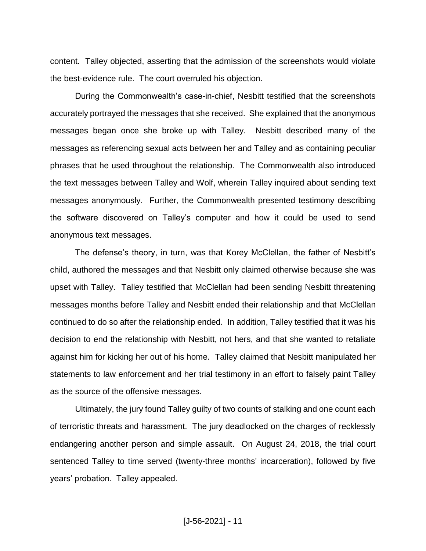content. Talley objected, asserting that the admission of the screenshots would violate the best-evidence rule. The court overruled his objection.

During the Commonwealth's case-in-chief, Nesbitt testified that the screenshots accurately portrayed the messages that she received. She explained that the anonymous messages began once she broke up with Talley. Nesbitt described many of the messages as referencing sexual acts between her and Talley and as containing peculiar phrases that he used throughout the relationship. The Commonwealth also introduced the text messages between Talley and Wolf, wherein Talley inquired about sending text messages anonymously. Further, the Commonwealth presented testimony describing the software discovered on Talley's computer and how it could be used to send anonymous text messages.

The defense's theory, in turn, was that Korey McClellan, the father of Nesbitt's child, authored the messages and that Nesbitt only claimed otherwise because she was upset with Talley. Talley testified that McClellan had been sending Nesbitt threatening messages months before Talley and Nesbitt ended their relationship and that McClellan continued to do so after the relationship ended. In addition, Talley testified that it was his decision to end the relationship with Nesbitt, not hers, and that she wanted to retaliate against him for kicking her out of his home. Talley claimed that Nesbitt manipulated her statements to law enforcement and her trial testimony in an effort to falsely paint Talley as the source of the offensive messages.

Ultimately, the jury found Talley guilty of two counts of stalking and one count each of terroristic threats and harassment. The jury deadlocked on the charges of recklessly endangering another person and simple assault. On August 24, 2018, the trial court sentenced Talley to time served (twenty-three months' incarceration), followed by five years' probation. Talley appealed.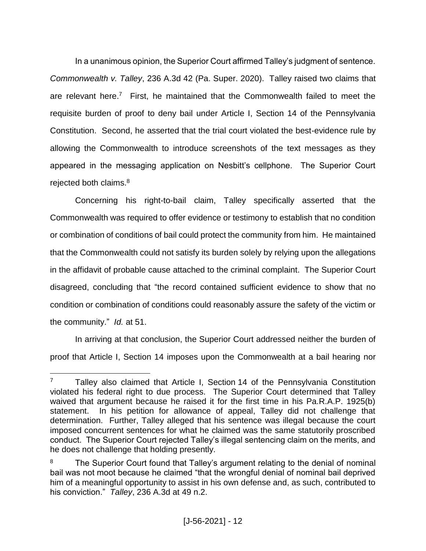In a unanimous opinion, the Superior Court affirmed Talley's judgment of sentence. *Commonwealth v. Talley*, 236 A.3d 42 (Pa. Super. 2020). Talley raised two claims that are relevant here.<sup>7</sup> First, he maintained that the Commonwealth failed to meet the requisite burden of proof to deny bail under Article I, Section 14 of the Pennsylvania Constitution. Second, he asserted that the trial court violated the best-evidence rule by allowing the Commonwealth to introduce screenshots of the text messages as they appeared in the messaging application on Nesbitt's cellphone. The Superior Court rejected both claims. 8

Concerning his right-to-bail claim, Talley specifically asserted that the Commonwealth was required to offer evidence or testimony to establish that no condition or combination of conditions of bail could protect the community from him. He maintained that the Commonwealth could not satisfy its burden solely by relying upon the allegations in the affidavit of probable cause attached to the criminal complaint. The Superior Court disagreed, concluding that "the record contained sufficient evidence to show that no condition or combination of conditions could reasonably assure the safety of the victim or the community." *Id.* at 51.

In arriving at that conclusion, the Superior Court addressed neither the burden of proof that Article I, Section 14 imposes upon the Commonwealth at a bail hearing nor

 $\overline{a}$  $7$  Talley also claimed that Article I, Section 14 of the Pennsylvania Constitution violated his federal right to due process. The Superior Court determined that Talley waived that argument because he raised it for the first time in his Pa.R.A.P. 1925(b) statement. In his petition for allowance of appeal, Talley did not challenge that determination. Further, Talley alleged that his sentence was illegal because the court imposed concurrent sentences for what he claimed was the same statutorily proscribed conduct. The Superior Court rejected Talley's illegal sentencing claim on the merits, and he does not challenge that holding presently.

<sup>&</sup>lt;sup>8</sup> The Superior Court found that Talley's argument relating to the denial of nominal bail was not moot because he claimed "that the wrongful denial of nominal bail deprived him of a meaningful opportunity to assist in his own defense and, as such, contributed to his conviction." *Talley*, 236 A.3d at 49 n.2.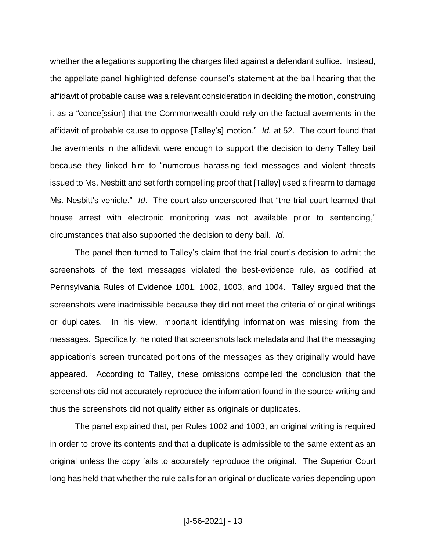whether the allegations supporting the charges filed against a defendant suffice. Instead, the appellate panel highlighted defense counsel's statement at the bail hearing that the affidavit of probable cause was a relevant consideration in deciding the motion, construing it as a "conce[ssion] that the Commonwealth could rely on the factual averments in the affidavit of probable cause to oppose [Talley's] motion." *Id.* at 52. The court found that the averments in the affidavit were enough to support the decision to deny Talley bail because they linked him to "numerous harassing text messages and violent threats issued to Ms. Nesbitt and set forth compelling proof that [Talley] used a firearm to damage Ms. Nesbitt's vehicle." *Id*. The court also underscored that "the trial court learned that house arrest with electronic monitoring was not available prior to sentencing," circumstances that also supported the decision to deny bail. *Id*.

The panel then turned to Talley's claim that the trial court's decision to admit the screenshots of the text messages violated the best-evidence rule, as codified at Pennsylvania Rules of Evidence 1001, 1002, 1003, and 1004. Talley argued that the screenshots were inadmissible because they did not meet the criteria of original writings or duplicates. In his view, important identifying information was missing from the messages. Specifically, he noted that screenshots lack metadata and that the messaging application's screen truncated portions of the messages as they originally would have appeared. According to Talley, these omissions compelled the conclusion that the screenshots did not accurately reproduce the information found in the source writing and thus the screenshots did not qualify either as originals or duplicates.

The panel explained that, per Rules 1002 and 1003, an original writing is required in order to prove its contents and that a duplicate is admissible to the same extent as an original unless the copy fails to accurately reproduce the original. The Superior Court long has held that whether the rule calls for an original or duplicate varies depending upon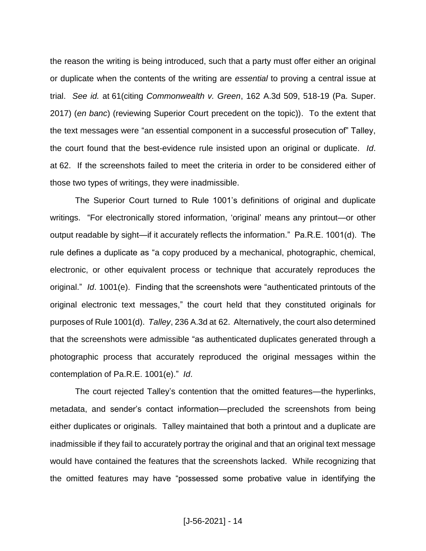the reason the writing is being introduced, such that a party must offer either an original or duplicate when the contents of the writing are *essential* to proving a central issue at trial. *See id.* at 61(citing *Commonwealth v. Green*, 162 A.3d 509, 518-19 (Pa. Super. 2017) (*en banc*) (reviewing Superior Court precedent on the topic)). To the extent that the text messages were "an essential component in a successful prosecution of" Talley, the court found that the best-evidence rule insisted upon an original or duplicate. *Id*. at 62. If the screenshots failed to meet the criteria in order to be considered either of those two types of writings, they were inadmissible.

The Superior Court turned to Rule 1001's definitions of original and duplicate writings. "For electronically stored information, 'original' means any printout—or other output readable by sight—if it accurately reflects the information." Pa.R.E. 1001(d). The rule defines a duplicate as "a copy produced by a mechanical, photographic, chemical, electronic, or other equivalent process or technique that accurately reproduces the original." *Id*. 1001(e). Finding that the screenshots were "authenticated printouts of the original electronic text messages," the court held that they constituted originals for purposes of Rule 1001(d). *Talley*, 236 A.3d at 62. Alternatively, the court also determined that the screenshots were admissible "as authenticated duplicates generated through a photographic process that accurately reproduced the original messages within the contemplation of Pa.R.E. 1001(e)." *Id*.

The court rejected Talley's contention that the omitted features—the hyperlinks, metadata, and sender's contact information—precluded the screenshots from being either duplicates or originals. Talley maintained that both a printout and a duplicate are inadmissible if they fail to accurately portray the original and that an original text message would have contained the features that the screenshots lacked. While recognizing that the omitted features may have "possessed some probative value in identifying the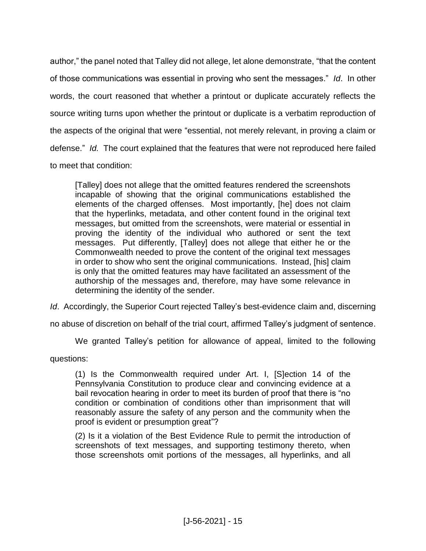author," the panel noted that Talley did not allege, let alone demonstrate, "that the content of those communications was essential in proving who sent the messages." *Id*. In other words, the court reasoned that whether a printout or duplicate accurately reflects the source writing turns upon whether the printout or duplicate is a verbatim reproduction of the aspects of the original that were "essential, not merely relevant, in proving a claim or defense." *Id.* The court explained that the features that were not reproduced here failed to meet that condition:

[Talley] does not allege that the omitted features rendered the screenshots incapable of showing that the original communications established the elements of the charged offenses. Most importantly, [he] does not claim that the hyperlinks, metadata, and other content found in the original text messages, but omitted from the screenshots, were material or essential in proving the identity of the individual who authored or sent the text messages. Put differently, [Talley] does not allege that either he or the Commonwealth needed to prove the content of the original text messages in order to show who sent the original communications. Instead, [his] claim is only that the omitted features may have facilitated an assessment of the authorship of the messages and, therefore, may have some relevance in determining the identity of the sender.

*Id*. Accordingly, the Superior Court rejected Talley's best-evidence claim and, discerning

no abuse of discretion on behalf of the trial court, affirmed Talley's judgment of sentence.

We granted Talley's petition for allowance of appeal, limited to the following

questions:

(1) Is the Commonwealth required under Art. I, [S]ection 14 of the Pennsylvania Constitution to produce clear and convincing evidence at a bail revocation hearing in order to meet its burden of proof that there is "no condition or combination of conditions other than imprisonment that will reasonably assure the safety of any person and the community when the proof is evident or presumption great"?

(2) Is it a violation of the Best Evidence Rule to permit the introduction of screenshots of text messages, and supporting testimony thereto, when those screenshots omit portions of the messages, all hyperlinks, and all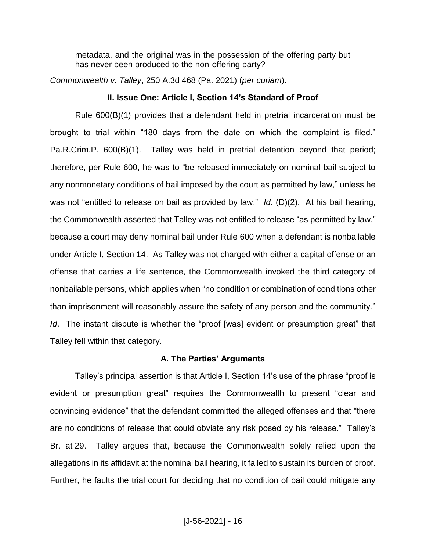metadata, and the original was in the possession of the offering party but has never been produced to the non-offering party?

*Commonwealth v. Talley*, 250 A.3d 468 (Pa. 2021) (*per curiam*).

#### **II. Issue One: Article I, Section 14's Standard of Proof**

Rule 600(B)(1) provides that a defendant held in pretrial incarceration must be brought to trial within "180 days from the date on which the complaint is filed." Pa.R.Crim.P. 600(B)(1). Talley was held in pretrial detention beyond that period; therefore, per Rule 600, he was to "be released immediately on nominal bail subject to any nonmonetary conditions of bail imposed by the court as permitted by law," unless he was not "entitled to release on bail as provided by law." *Id*. (D)(2). At his bail hearing, the Commonwealth asserted that Talley was not entitled to release "as permitted by law," because a court may deny nominal bail under Rule 600 when a defendant is nonbailable under Article I, Section 14. As Talley was not charged with either a capital offense or an offense that carries a life sentence, the Commonwealth invoked the third category of nonbailable persons, which applies when "no condition or combination of conditions other than imprisonment will reasonably assure the safety of any person and the community." *Id*. The instant dispute is whether the "proof [was] evident or presumption great" that Talley fell within that category.

#### **A. The Parties' Arguments**

Talley's principal assertion is that Article I, Section 14's use of the phrase "proof is evident or presumption great" requires the Commonwealth to present "clear and convincing evidence" that the defendant committed the alleged offenses and that "there are no conditions of release that could obviate any risk posed by his release." Talley's Br. at 29. Talley argues that, because the Commonwealth solely relied upon the allegations in its affidavit at the nominal bail hearing, it failed to sustain its burden of proof. Further, he faults the trial court for deciding that no condition of bail could mitigate any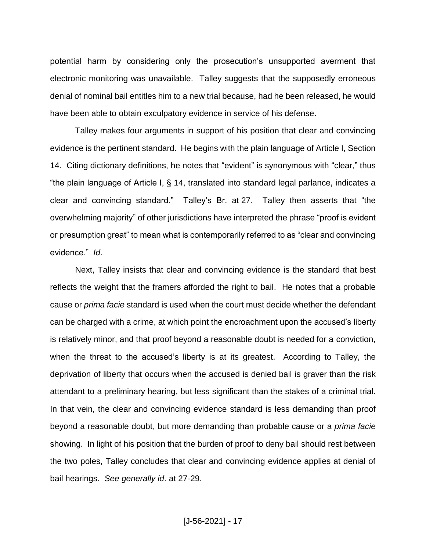potential harm by considering only the prosecution's unsupported averment that electronic monitoring was unavailable. Talley suggests that the supposedly erroneous denial of nominal bail entitles him to a new trial because, had he been released, he would have been able to obtain exculpatory evidence in service of his defense.

Talley makes four arguments in support of his position that clear and convincing evidence is the pertinent standard. He begins with the plain language of Article I, Section 14. Citing dictionary definitions, he notes that "evident" is synonymous with "clear," thus "the plain language of Article I, § 14, translated into standard legal parlance, indicates a clear and convincing standard." Talley's Br. at 27. Talley then asserts that "the overwhelming majority" of other jurisdictions have interpreted the phrase "proof is evident or presumption great" to mean what is contemporarily referred to as "clear and convincing evidence." *Id*.

Next, Talley insists that clear and convincing evidence is the standard that best reflects the weight that the framers afforded the right to bail. He notes that a probable cause or *prima facie* standard is used when the court must decide whether the defendant can be charged with a crime, at which point the encroachment upon the accused's liberty is relatively minor, and that proof beyond a reasonable doubt is needed for a conviction, when the threat to the accused's liberty is at its greatest. According to Talley, the deprivation of liberty that occurs when the accused is denied bail is graver than the risk attendant to a preliminary hearing, but less significant than the stakes of a criminal trial. In that vein, the clear and convincing evidence standard is less demanding than proof beyond a reasonable doubt, but more demanding than probable cause or a *prima facie* showing. In light of his position that the burden of proof to deny bail should rest between the two poles, Talley concludes that clear and convincing evidence applies at denial of bail hearings. *See generally id*. at 27-29.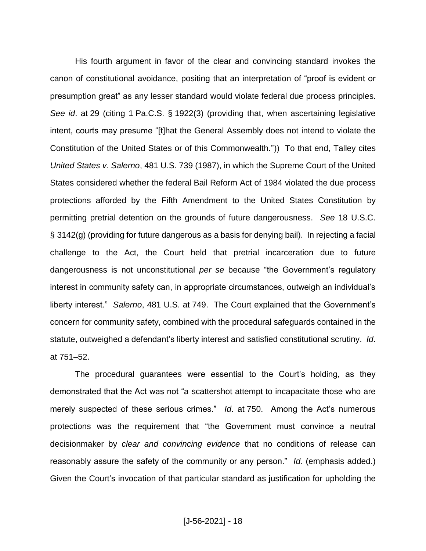His fourth argument in favor of the clear and convincing standard invokes the canon of constitutional avoidance, positing that an interpretation of "proof is evident or presumption great" as any lesser standard would violate federal due process principles. *See id*. at 29 (citing 1 Pa.C.S. § 1922(3) (providing that, when ascertaining legislative intent, courts may presume "[t]hat the General Assembly does not intend to violate the Constitution of the United States or of this Commonwealth.")) To that end, Talley cites *United States v. Salerno*, 481 U.S. 739 (1987), in which the Supreme Court of the United States considered whether the federal Bail Reform Act of 1984 violated the due process protections afforded by the Fifth Amendment to the United States Constitution by permitting pretrial detention on the grounds of future dangerousness. *See* 18 U.S.C. § 3142(g) (providing for future dangerous as a basis for denying bail). In rejecting a facial challenge to the Act, the Court held that pretrial incarceration due to future dangerousness is not unconstitutional *per se* because "the Government's regulatory interest in community safety can, in appropriate circumstances, outweigh an individual's liberty interest." *Salerno*, 481 U.S. at 749. The Court explained that the Government's concern for community safety, combined with the procedural safeguards contained in the statute, outweighed a defendant's liberty interest and satisfied constitutional scrutiny. *Id*. at 751–52.

The procedural guarantees were essential to the Court's holding, as they demonstrated that the Act was not "a scattershot attempt to incapacitate those who are merely suspected of these serious crimes." *Id*. at 750. Among the Act's numerous protections was the requirement that "the Government must convince a neutral decisionmaker by *clear and convincing evidence* that no conditions of release can reasonably assure the safety of the community or any person." *Id.* (emphasis added.) Given the Court's invocation of that particular standard as justification for upholding the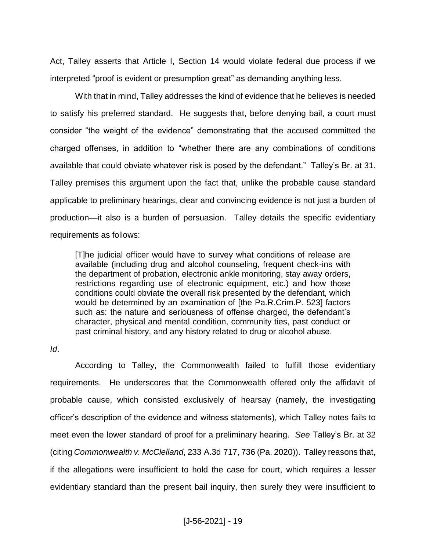Act, Talley asserts that Article I, Section 14 would violate federal due process if we interpreted "proof is evident or presumption great" as demanding anything less.

With that in mind, Talley addresses the kind of evidence that he believes is needed to satisfy his preferred standard. He suggests that, before denying bail, a court must consider "the weight of the evidence" demonstrating that the accused committed the charged offenses, in addition to "whether there are any combinations of conditions available that could obviate whatever risk is posed by the defendant." Talley's Br. at 31. Talley premises this argument upon the fact that, unlike the probable cause standard applicable to preliminary hearings, clear and convincing evidence is not just a burden of production—it also is a burden of persuasion. Talley details the specific evidentiary requirements as follows:

[T]he judicial officer would have to survey what conditions of release are available (including drug and alcohol counseling, frequent check-ins with the department of probation, electronic ankle monitoring, stay away orders, restrictions regarding use of electronic equipment, etc.) and how those conditions could obviate the overall risk presented by the defendant, which would be determined by an examination of [the Pa.R.Crim.P. 523] factors such as: the nature and seriousness of offense charged, the defendant's character, physical and mental condition, community ties, past conduct or past criminal history, and any history related to drug or alcohol abuse.

## *Id*.

According to Talley, the Commonwealth failed to fulfill those evidentiary requirements. He underscores that the Commonwealth offered only the affidavit of probable cause, which consisted exclusively of hearsay (namely, the investigating officer's description of the evidence and witness statements), which Talley notes fails to meet even the lower standard of proof for a preliminary hearing. *See* Talley's Br. at 32 (citing *Commonwealth v. McClelland*, 233 A.3d 717, 736 (Pa. 2020)). Talley reasons that, if the allegations were insufficient to hold the case for court, which requires a lesser evidentiary standard than the present bail inquiry, then surely they were insufficient to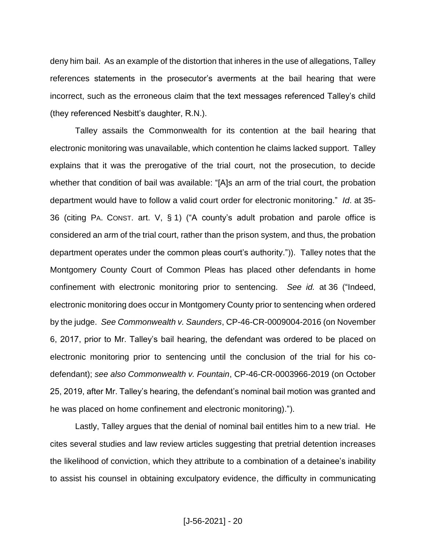deny him bail. As an example of the distortion that inheres in the use of allegations, Talley references statements in the prosecutor's averments at the bail hearing that were incorrect, such as the erroneous claim that the text messages referenced Talley's child (they referenced Nesbitt's daughter, R.N.).

Talley assails the Commonwealth for its contention at the bail hearing that electronic monitoring was unavailable, which contention he claims lacked support. Talley explains that it was the prerogative of the trial court, not the prosecution, to decide whether that condition of bail was available: "[A]s an arm of the trial court, the probation department would have to follow a valid court order for electronic monitoring." *Id*. at 35- 36 (citing PA. CONST. art. V, § 1) ("A county's adult probation and parole office is considered an arm of the trial court, rather than the prison system, and thus, the probation department operates under the common pleas court's authority.")). Talley notes that the Montgomery County Court of Common Pleas has placed other defendants in home confinement with electronic monitoring prior to sentencing. *See id.* at 36 ("Indeed, electronic monitoring does occur in Montgomery County prior to sentencing when ordered by the judge. *See Commonwealth v. Saunders*, CP-46-CR-0009004-2016 (on November 6, 2017, prior to Mr. Talley's bail hearing, the defendant was ordered to be placed on electronic monitoring prior to sentencing until the conclusion of the trial for his codefendant); *see also Commonwealth v. Fountain*, CP-46-CR-0003966-2019 (on October 25, 2019, after Mr. Talley's hearing, the defendant's nominal bail motion was granted and he was placed on home confinement and electronic monitoring).").

Lastly, Talley argues that the denial of nominal bail entitles him to a new trial. He cites several studies and law review articles suggesting that pretrial detention increases the likelihood of conviction, which they attribute to a combination of a detainee's inability to assist his counsel in obtaining exculpatory evidence, the difficulty in communicating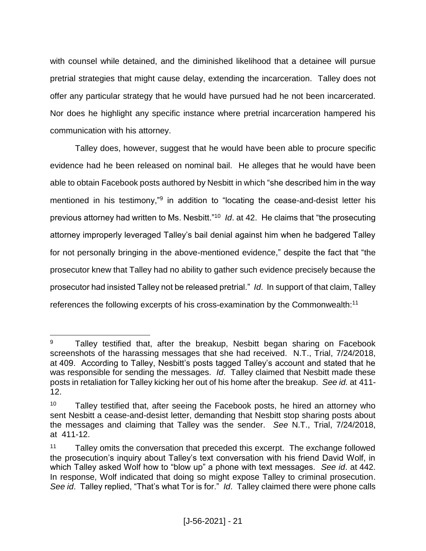with counsel while detained, and the diminished likelihood that a detainee will pursue pretrial strategies that might cause delay, extending the incarceration. Talley does not offer any particular strategy that he would have pursued had he not been incarcerated. Nor does he highlight any specific instance where pretrial incarceration hampered his communication with his attorney.

Talley does, however, suggest that he would have been able to procure specific evidence had he been released on nominal bail. He alleges that he would have been able to obtain Facebook posts authored by Nesbitt in which "she described him in the way mentioned in his testimony,"<sup>9</sup> in addition to "locating the cease-and-desist letter his previous attorney had written to Ms. Nesbitt."<sup>10</sup> *Id*. at 42. He claims that "the prosecuting attorney improperly leveraged Talley's bail denial against him when he badgered Talley for not personally bringing in the above-mentioned evidence," despite the fact that "the prosecutor knew that Talley had no ability to gather such evidence precisely because the prosecutor had insisted Talley not be released pretrial." *Id*. In support of that claim, Talley references the following excerpts of his cross-examination by the Commonwealth:<sup>11</sup>

 $\overline{a}$ <sup>9</sup> Talley testified that, after the breakup, Nesbitt began sharing on Facebook screenshots of the harassing messages that she had received. N.T., Trial, 7/24/2018, at 409. According to Talley, Nesbitt's posts tagged Talley's account and stated that he was responsible for sending the messages. *Id*. Talley claimed that Nesbitt made these posts in retaliation for Talley kicking her out of his home after the breakup. *See id.* at 411- 12.

 $10$  Talley testified that, after seeing the Facebook posts, he hired an attorney who sent Nesbitt a cease-and-desist letter, demanding that Nesbitt stop sharing posts about the messages and claiming that Talley was the sender. *See* N.T., Trial, 7/24/2018, at 411-12.

 $11$  Talley omits the conversation that preceded this excerpt. The exchange followed the prosecution's inquiry about Talley's text conversation with his friend David Wolf, in which Talley asked Wolf how to "blow up" a phone with text messages. *See id*. at 442. In response, Wolf indicated that doing so might expose Talley to criminal prosecution. *See id*. Talley replied, "That's what Tor is for." *Id*. Talley claimed there were phone calls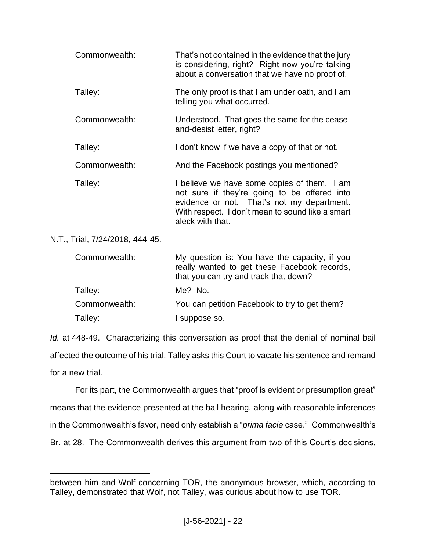| Commonwealth: | That's not contained in the evidence that the jury<br>is considering, right? Right now you're talking<br>about a conversation that we have no proof of.                                                           |
|---------------|-------------------------------------------------------------------------------------------------------------------------------------------------------------------------------------------------------------------|
| Talley:       | The only proof is that I am under oath, and I am<br>telling you what occurred.                                                                                                                                    |
| Commonwealth: | Understood. That goes the same for the cease-<br>and-desist letter, right?                                                                                                                                        |
| Talley:       | I don't know if we have a copy of that or not.                                                                                                                                                                    |
| Commonwealth: | And the Facebook postings you mentioned?                                                                                                                                                                          |
| Talley:       | I believe we have some copies of them. I am<br>not sure if they're going to be offered into<br>evidence or not. That's not my department.<br>With respect. I don't mean to sound like a smart<br>aleck with that. |

N.T., Trial, 7/24/2018, 444-45.

 $\overline{a}$ 

| Commonwealth: | My question is: You have the capacity, if you<br>really wanted to get these Facebook records,<br>that you can try and track that down? |
|---------------|----------------------------------------------------------------------------------------------------------------------------------------|
| Talley:       | Me? No.                                                                                                                                |
| Commonwealth: | You can petition Facebook to try to get them?                                                                                          |
| Talley:       | l suppose so.                                                                                                                          |

*Id.* at 448-49. Characterizing this conversation as proof that the denial of nominal bail affected the outcome of his trial, Talley asks this Court to vacate his sentence and remand for a new trial.

For its part, the Commonwealth argues that "proof is evident or presumption great" means that the evidence presented at the bail hearing, along with reasonable inferences in the Commonwealth's favor, need only establish a "*prima facie* case." Commonwealth's Br. at 28. The Commonwealth derives this argument from two of this Court's decisions,

between him and Wolf concerning TOR, the anonymous browser, which, according to Talley, demonstrated that Wolf, not Talley, was curious about how to use TOR.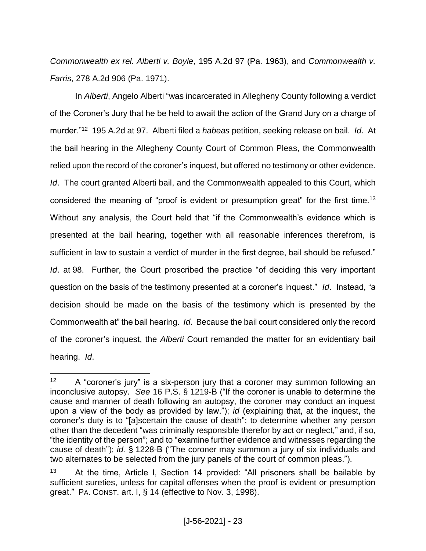*Commonwealth ex rel. Alberti v. Boyle*, 195 A.2d 97 (Pa. 1963), and *Commonwealth v. Farris*, 278 A.2d 906 (Pa. 1971).

In *Alberti*, Angelo Alberti "was incarcerated in Allegheny County following a verdict of the Coroner's Jury that he be held to await the action of the Grand Jury on a charge of murder."<sup>12</sup> 195 A.2d at 97. Alberti filed a *habeas* petition, seeking release on bail. *Id*. At the bail hearing in the Allegheny County Court of Common Pleas, the Commonwealth relied upon the record of the coroner's inquest, but offered no testimony or other evidence. *Id*. The court granted Alberti bail, and the Commonwealth appealed to this Court, which considered the meaning of "proof is evident or presumption great" for the first time.<sup>13</sup> Without any analysis, the Court held that "if the Commonwealth's evidence which is presented at the bail hearing, together with all reasonable inferences therefrom, is sufficient in law to sustain a verdict of murder in the first degree, bail should be refused." *Id*. at 98. Further, the Court proscribed the practice "of deciding this very important question on the basis of the testimony presented at a coroner's inquest." *Id*. Instead, "a decision should be made on the basis of the testimony which is presented by the Commonwealth at" the bail hearing. *Id*. Because the bail court considered only the record of the coroner's inquest, the *Alberti* Court remanded the matter for an evidentiary bail hearing. *Id*.

 $12$  A "coroner's jury" is a six-person jury that a coroner may summon following an inconclusive autopsy. *See* 16 P.S. § 1219-B ("If the coroner is unable to determine the cause and manner of death following an autopsy, the coroner may conduct an inquest upon a view of the body as provided by law."); *id* (explaining that, at the inquest, the coroner's duty is to "[a]scertain the cause of death"; to determine whether any person other than the decedent "was criminally responsible therefor by act or neglect," and, if so, "the identity of the person"; and to "examine further evidence and witnesses regarding the cause of death"); *id.* § 1228-B ("The coroner may summon a jury of six individuals and two alternates to be selected from the jury panels of the court of common pleas.").

<sup>13</sup> At the time, Article I, Section 14 provided: "All prisoners shall be bailable by sufficient sureties, unless for capital offenses when the proof is evident or presumption great." PA. CONST. art. I, § 14 (effective to Nov. 3, 1998).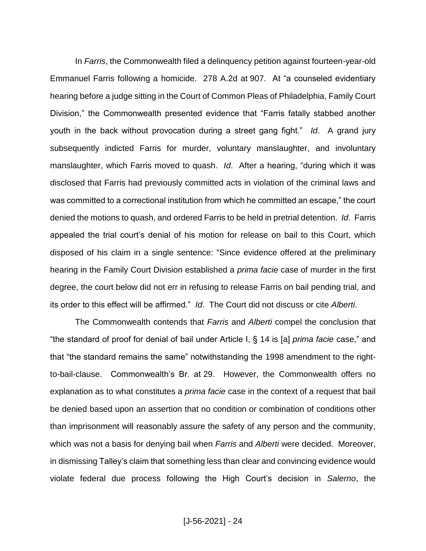In *Farris*, the Commonwealth filed a delinquency petition against fourteen-year-old Emmanuel Farris following a homicide. 278 A.2d at 907. At "a counseled evidentiary hearing before a judge sitting in the Court of Common Pleas of Philadelphia, Family Court Division," the Commonwealth presented evidence that "Farris fatally stabbed another youth in the back without provocation during a street gang fight." *Id*. A grand jury subsequently indicted Farris for murder, voluntary manslaughter, and involuntary manslaughter, which Farris moved to quash. *Id*. After a hearing, "during which it was disclosed that Farris had previously committed acts in violation of the criminal laws and was committed to a correctional institution from which he committed an escape," the court denied the motions to quash, and ordered Farris to be held in pretrial detention. *Id*. Farris appealed the trial court's denial of his motion for release on bail to this Court, which disposed of his claim in a single sentence: "Since evidence offered at the preliminary hearing in the Family Court Division established a *prima facie* case of murder in the first degree, the court below did not err in refusing to release Farris on bail pending trial, and its order to this effect will be affirmed." *Id*. The Court did not discuss or cite *Alberti*.

The Commonwealth contends that *Farris* and *Alberti* compel the conclusion that "the standard of proof for denial of bail under Article I, § 14 is [a] *prima facie* case," and that "the standard remains the same" notwithstanding the 1998 amendment to the rightto-bail-clause. Commonwealth's Br. at 29. However, the Commonwealth offers no explanation as to what constitutes a *prima facie* case in the context of a request that bail be denied based upon an assertion that no condition or combination of conditions other than imprisonment will reasonably assure the safety of any person and the community, which was not a basis for denying bail when *Farris* and *Alberti* were decided. Moreover, in dismissing Talley's claim that something less than clear and convincing evidence would violate federal due process following the High Court's decision in *Salerno*, the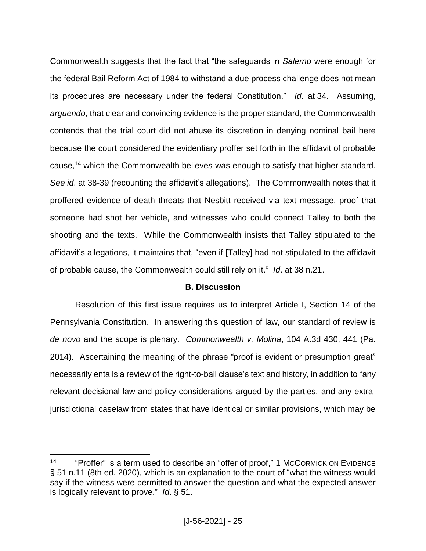Commonwealth suggests that the fact that "the safeguards in *Salerno* were enough for the federal Bail Reform Act of 1984 to withstand a due process challenge does not mean its procedures are necessary under the federal Constitution." *Id*. at 34. Assuming, *arguendo*, that clear and convincing evidence is the proper standard, the Commonwealth contends that the trial court did not abuse its discretion in denying nominal bail here because the court considered the evidentiary proffer set forth in the affidavit of probable cause,<sup>14</sup> which the Commonwealth believes was enough to satisfy that higher standard. *See id*. at 38-39 (recounting the affidavit's allegations). The Commonwealth notes that it proffered evidence of death threats that Nesbitt received via text message, proof that someone had shot her vehicle, and witnesses who could connect Talley to both the shooting and the texts. While the Commonwealth insists that Talley stipulated to the affidavit's allegations, it maintains that, "even if [Talley] had not stipulated to the affidavit of probable cause, the Commonwealth could still rely on it." *Id*. at 38 n.21.

# **B. Discussion**

Resolution of this first issue requires us to interpret Article I, Section 14 of the Pennsylvania Constitution. In answering this question of law, our standard of review is *de novo* and the scope is plenary. *Commonwealth v. Molina*, 104 A.3d 430, 441 (Pa. 2014). Ascertaining the meaning of the phrase "proof is evident or presumption great" necessarily entails a review of the right-to-bail clause's text and history, in addition to "any relevant decisional law and policy considerations argued by the parties, and any extrajurisdictional caselaw from states that have identical or similar provisions, which may be

<sup>&</sup>lt;sup>14</sup> "Proffer" is a term used to describe an "offer of proof," 1 McCORMICK ON EVIDENCE § 51 n.11 (8th ed. 2020), which is an explanation to the court of "what the witness would say if the witness were permitted to answer the question and what the expected answer is logically relevant to prove." *Id*. § 51.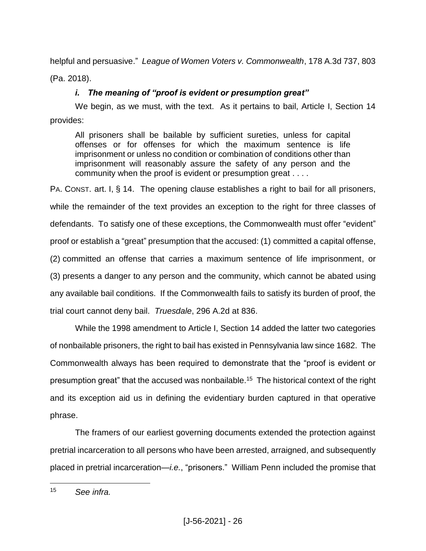helpful and persuasive." *League of Women Voters v. Commonwealth*, 178 A.3d 737, 803

(Pa. 2018).

# *i. The meaning of "proof is evident or presumption great"*

We begin, as we must, with the text. As it pertains to bail, Article I, Section 14 provides:

All prisoners shall be bailable by sufficient sureties, unless for capital offenses or for offenses for which the maximum sentence is life imprisonment or unless no condition or combination of conditions other than imprisonment will reasonably assure the safety of any person and the community when the proof is evident or presumption great . . . .

PA. CONST. art. I, § 14. The opening clause establishes a right to bail for all prisoners, while the remainder of the text provides an exception to the right for three classes of defendants. To satisfy one of these exceptions, the Commonwealth must offer "evident" proof or establish a "great" presumption that the accused: (1) committed a capital offense, (2) committed an offense that carries a maximum sentence of life imprisonment, or (3) presents a danger to any person and the community, which cannot be abated using any available bail conditions. If the Commonwealth fails to satisfy its burden of proof, the trial court cannot deny bail. *Truesdale*, 296 A.2d at 836.

While the 1998 amendment to Article I, Section 14 added the latter two categories of nonbailable prisoners, the right to bail has existed in Pennsylvania law since 1682. The Commonwealth always has been required to demonstrate that the "proof is evident or presumption great" that the accused was nonbailable.<sup>15</sup> The historical context of the right and its exception aid us in defining the evidentiary burden captured in that operative phrase.

The framers of our earliest governing documents extended the protection against pretrial incarceration to all persons who have been arrested, arraigned, and subsequently placed in pretrial incarceration—*i.e.*, "prisoners." William Penn included the promise that

 $\overline{a}$ <sup>15</sup> *See infra.*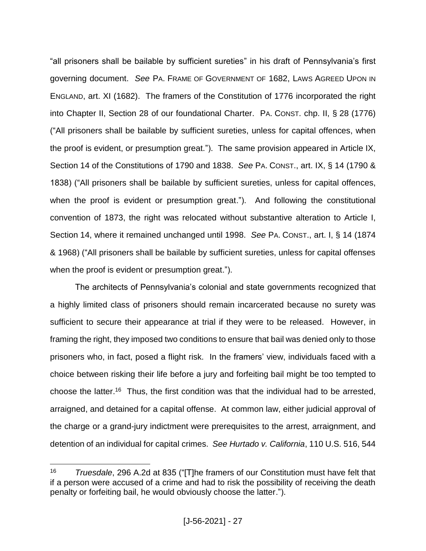"all prisoners shall be bailable by sufficient sureties" in his draft of Pennsylvania's first governing document. *See* PA. FRAME OF GOVERNMENT OF 1682, LAWS AGREED UPON IN ENGLAND, art. XI (1682). The framers of the Constitution of 1776 incorporated the right into Chapter II, Section 28 of our foundational Charter. PA. CONST. chp. II, § 28 (1776) ("All prisoners shall be bailable by sufficient sureties, unless for capital offences, when the proof is evident, or presumption great."). The same provision appeared in Article IX, Section 14 of the Constitutions of 1790 and 1838. *See* PA. CONST., art. IX, § 14 (1790 & 1838) ("All prisoners shall be bailable by sufficient sureties, unless for capital offences, when the proof is evident or presumption great."). And following the constitutional convention of 1873, the right was relocated without substantive alteration to Article I, Section 14, where it remained unchanged until 1998. *See* PA. CONST., art. I, § 14 (1874 & 1968) ("All prisoners shall be bailable by sufficient sureties, unless for capital offenses when the proof is evident or presumption great.").

The architects of Pennsylvania's colonial and state governments recognized that a highly limited class of prisoners should remain incarcerated because no surety was sufficient to secure their appearance at trial if they were to be released. However, in framing the right, they imposed two conditions to ensure that bail was denied only to those prisoners who, in fact, posed a flight risk. In the framers' view, individuals faced with a choice between risking their life before a jury and forfeiting bail might be too tempted to choose the latter.<sup>16</sup> Thus, the first condition was that the individual had to be arrested, arraigned, and detained for a capital offense. At common law, either judicial approval of the charge or a grand-jury indictment were prerequisites to the arrest, arraignment, and detention of an individual for capital crimes. *See Hurtado v. California*, 110 U.S. 516, 544

<sup>16</sup> *Truesdale*, 296 A.2d at 835 ("[T]he framers of our Constitution must have felt that if a person were accused of a crime and had to risk the possibility of receiving the death penalty or forfeiting bail, he would obviously choose the latter.").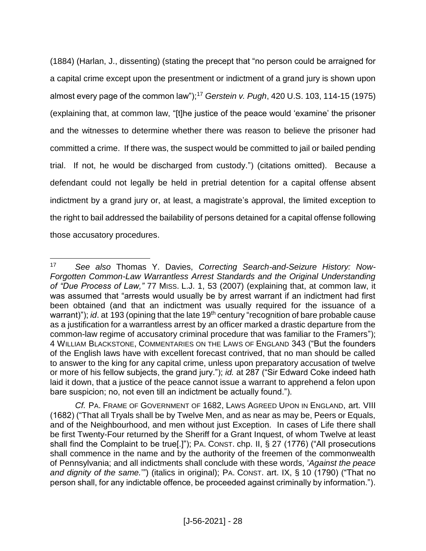(1884) (Harlan, J., dissenting) (stating the precept that "no person could be arraigned for a capital crime except upon the presentment or indictment of a grand jury is shown upon almost every page of the common law"); <sup>17</sup> *Gerstein v. Pugh*, 420 U.S. 103, 114-15 (1975) (explaining that, at common law, "[t]he justice of the peace would 'examine' the prisoner and the witnesses to determine whether there was reason to believe the prisoner had committed a crime. If there was, the suspect would be committed to jail or bailed pending trial. If not, he would be discharged from custody.") (citations omitted). Because a defendant could not legally be held in pretrial detention for a capital offense absent indictment by a grand jury or, at least, a magistrate's approval, the limited exception to the right to bail addressed the bailability of persons detained for a capital offense following those accusatory procedures.

<sup>17</sup> *See also* Thomas Y. Davies, *Correcting Search-and-Seizure History: Now-Forgotten Common-Law Warrantless Arrest Standards and the Original Understanding of "Due Process of Law,"* 77 MISS. L.J. 1, 53 (2007) (explaining that, at common law, it was assumed that "arrests would usually be by arrest warrant if an indictment had first been obtained (and that an indictment was usually required for the issuance of a warrant)"); *id.* at 193 (opining that the late 19<sup>th</sup> century "recognition of bare probable cause as a justification for a warrantless arrest by an officer marked a drastic departure from the common-law regime of accusatory criminal procedure that was familiar to the Framers"); 4 WILLIAM BLACKSTONE, COMMENTARIES ON THE LAWS OF ENGLAND 343 ("But the founders of the English laws have with excellent forecast contrived, that no man should be called to answer to the king for any capital crime, unless upon preparatory accusation of twelve or more of his fellow subjects, the grand jury."); *id.* at 287 ("Sir Edward Coke indeed hath laid it down, that a justice of the peace cannot issue a warrant to apprehend a felon upon bare suspicion; no, not even till an indictment be actually found.").

*Cf.* PA. FRAME OF GOVERNMENT OF 1682, LAWS AGREED UPON IN ENGLAND, art. VIII (1682) ("That all Tryals shall be by Twelve Men, and as near as may be, Peers or Equals, and of the Neighbourhood, and men without just Exception. In cases of Life there shall be first Twenty-Four returned by the Sheriff for a Grant Inquest, of whom Twelve at least shall find the Complaint to be true[.]"); PA. CONST. chp. II, § 27 (1776) ("All prosecutions shall commence in the name and by the authority of the freemen of the commonwealth of Pennsylvania; and all indictments shall conclude with these words, '*Against the peace and dignity of the same.*'") (italics in original); PA. CONST. art. IX, § 10 (1790) ("That no person shall, for any indictable offence, be proceeded against criminally by information.").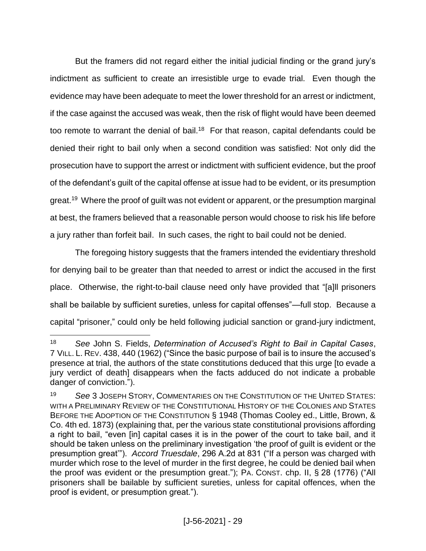But the framers did not regard either the initial judicial finding or the grand jury's indictment as sufficient to create an irresistible urge to evade trial. Even though the evidence may have been adequate to meet the lower threshold for an arrest or indictment, if the case against the accused was weak, then the risk of flight would have been deemed too remote to warrant the denial of bail.<sup>18</sup> For that reason, capital defendants could be denied their right to bail only when a second condition was satisfied: Not only did the prosecution have to support the arrest or indictment with sufficient evidence, but the proof of the defendant's guilt of the capital offense at issue had to be evident, or its presumption great.<sup>19</sup> Where the proof of guilt was not evident or apparent, or the presumption marginal at best, the framers believed that a reasonable person would choose to risk his life before a jury rather than forfeit bail. In such cases, the right to bail could not be denied.

The foregoing history suggests that the framers intended the evidentiary threshold for denying bail to be greater than that needed to arrest or indict the accused in the first place. Otherwise, the right-to-bail clause need only have provided that "[a]ll prisoners shall be bailable by sufficient sureties, unless for capital offenses"—full stop. Because a capital "prisoner," could only be held following judicial sanction or grand-jury indictment,

<sup>18</sup> *See* John S. Fields, *Determination of Accused's Right to Bail in Capital Cases*, 7 VILL. L. REV. 438, 440 (1962) ("Since the basic purpose of bail is to insure the accused's presence at trial, the authors of the state constitutions deduced that this urge [to evade a jury verdict of death] disappears when the facts adduced do not indicate a probable danger of conviction.").

<sup>19</sup> *See* 3 JOSEPH STORY, COMMENTARIES ON THE CONSTITUTION OF THE UNITED STATES: WITH A PRELIMINARY REVIEW OF THE CONSTITUTIONAL HISTORY OF THE COLONIES AND STATES BEFORE THE ADOPTION OF THE CONSTITUTION § 1948 (Thomas Cooley ed., Little, Brown, & Co. 4th ed. 1873) (explaining that, per the various state constitutional provisions affording a right to bail, "even [in] capital cases it is in the power of the court to take bail, and it should be taken unless on the preliminary investigation 'the proof of guilt is evident or the presumption great'"). *Accord Truesdale*, 296 A.2d at 831 ("If a person was charged with murder which rose to the level of murder in the first degree, he could be denied bail when the proof was evident or the presumption great."); PA. CONST. chp. II, § 28 (1776) ("All prisoners shall be bailable by sufficient sureties, unless for capital offences, when the proof is evident, or presumption great.").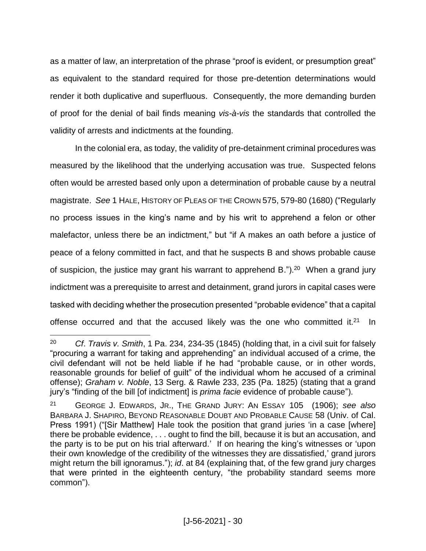as a matter of law, an interpretation of the phrase "proof is evident, or presumption great" as equivalent to the standard required for those pre-detention determinations would render it both duplicative and superfluous. Consequently, the more demanding burden of proof for the denial of bail finds meaning *vis-à-vis* the standards that controlled the validity of arrests and indictments at the founding.

In the colonial era, as today, the validity of pre-detainment criminal procedures was measured by the likelihood that the underlying accusation was true. Suspected felons often would be arrested based only upon a determination of probable cause by a neutral magistrate. *See* 1 HALE, HISTORY OF PLEAS OF THE CROWN 575, 579-80 (1680) ("Regularly no process issues in the king's name and by his writ to apprehend a felon or other malefactor, unless there be an indictment," but "if A makes an oath before a justice of peace of a felony committed in fact, and that he suspects B and shows probable cause of suspicion, the justice may grant his warrant to apprehend B.").<sup>20</sup> When a grand jury indictment was a prerequisite to arrest and detainment, grand jurors in capital cases were tasked with deciding whether the prosecution presented "probable evidence" that a capital offense occurred and that the accused likely was the one who committed it. $21$ In

<sup>20</sup> *Cf*. *Travis v. Smith*, 1 Pa. 234, 234-35 (1845) (holding that, in a civil suit for falsely "procuring a warrant for taking and apprehending" an individual accused of a crime, the civil defendant will not be held liable if he had "probable cause, or in other words, reasonable grounds for belief of guilt" of the individual whom he accused of a criminal offense); *Graham v. Noble*, 13 Serg. & Rawle 233, 235 (Pa. 1825) (stating that a grand jury's "finding of the bill [of indictment] is *prima facie* evidence of probable cause").

<sup>21</sup> GEORGE J. EDWARDS, JR., THE GRAND JURY: AN ESSAY 105 (1906); *see also* BARBARA J. SHAPIRO, BEYOND REASONABLE DOUBT AND PROBABLE CAUSE 58 (Univ. of Cal. Press 1991) ("[Sir Matthew] Hale took the position that grand juries 'in a case [where] there be probable evidence, . . . ought to find the bill, because it is but an accusation, and the party is to be put on his trial afterward.' If on hearing the king's witnesses or 'upon their own knowledge of the credibility of the witnesses they are dissatisfied,' grand jurors might return the bill ignoramus."); *id*. at 84 (explaining that, of the few grand jury charges that were printed in the eighteenth century, "the probability standard seems more common").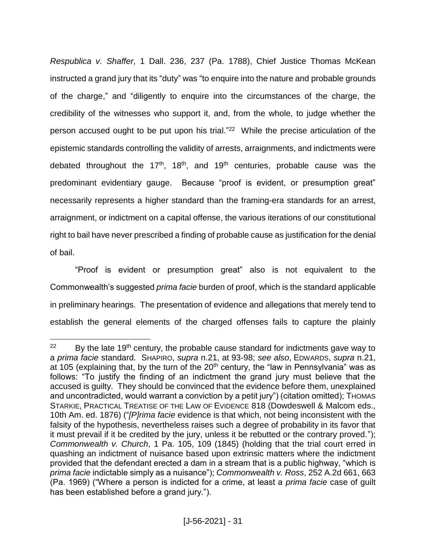*Respublica v. Shaffer*, 1 Dall. 236, 237 (Pa. 1788), Chief Justice Thomas McKean instructed a grand jury that its "duty" was "to enquire into the nature and probable grounds of the charge," and "diligently to enquire into the circumstances of the charge, the credibility of the witnesses who support it, and, from the whole, to judge whether the person accused ought to be put upon his trial."<sup>22</sup> While the precise articulation of the epistemic standards controlling the validity of arrests, arraignments, and indictments were debated throughout the 17<sup>th</sup>, 18<sup>th</sup>, and 19<sup>th</sup> centuries, probable cause was the predominant evidentiary gauge. Because "proof is evident, or presumption great" necessarily represents a higher standard than the framing-era standards for an arrest, arraignment, or indictment on a capital offense, the various iterations of our constitutional right to bail have never prescribed a finding of probable cause as justification for the denial of bail.

"Proof is evident or presumption great" also is not equivalent to the Commonwealth's suggested *prima facie* burden of proof, which is the standard applicable in preliminary hearings. The presentation of evidence and allegations that merely tend to establish the general elements of the charged offenses fails to capture the plainly

 $\overline{a}$  $22$  By the late 19<sup>th</sup> century, the probable cause standard for indictments gave way to a *prima facie* standard. SHAPIRO, *supra* n.21, at 93-98; *see also*, EDWARDS, *supra* n.21, at 105 (explaining that, by the turn of the  $20<sup>th</sup>$  century, the "law in Pennsylvania" was as follows: "To justify the finding of an indictment the grand jury must believe that the accused is guilty. They should be convinced that the evidence before them, unexplained and uncontradicted, would warrant a conviction by a petit jury") (citation omitted); THOMAS STARKIE, PRACTICAL TREATISE OF THE LAW OF EVIDENCE 818 (Dowdeswell & Malcom eds., 10th Am. ed. 1876) ("*[P]rima facie* evidence is that which, not being inconsistent with the falsity of the hypothesis, nevertheless raises such a degree of probability in its favor that it must prevail if it be credited by the jury, unless it be rebutted or the contrary proved."); *Commonwealth v. Church*, 1 Pa. 105, 109 (1845) (holding that the trial court erred in quashing an indictment of nuisance based upon extrinsic matters where the indictment provided that the defendant erected a dam in a stream that is a public highway, "which is *prima facie* indictable simply as a nuisance"); *Commonwealth v. Ross*, 252 A.2d 661, 663 (Pa. 1969) ("Where a person is indicted for a crime, at least a *prima facie* case of guilt has been established before a grand jury.").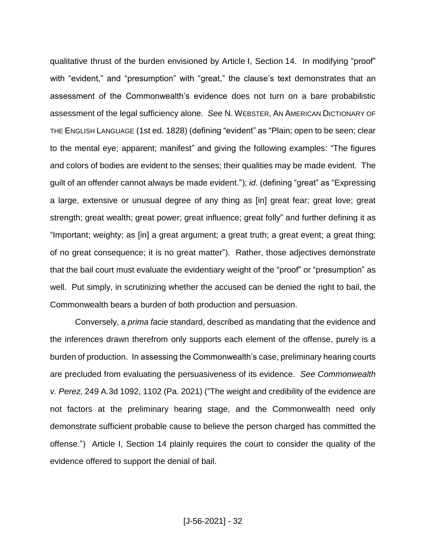qualitative thrust of the burden envisioned by Article I, Section 14. In modifying "proof" with "evident," and "presumption" with "great," the clause's text demonstrates that an assessment of the Commonwealth's evidence does not turn on a bare probabilistic assessment of the legal sufficiency alone. *See* N. WEBSTER, AN AMERICAN DICTIONARY OF THE ENGLISH LANGUAGE (1st ed. 1828) (defining "evident" as "Plain; open to be seen; clear to the mental eye; apparent; manifest" and giving the following examples: "The figures and colors of bodies are evident to the senses; their qualities may be made evident. The guilt of an offender cannot always be made evident."); *id.* (defining "great" as "Expressing a large, extensive or unusual degree of any thing as [in] great fear; great love; great strength; great wealth; great power; great influence; great folly" and further defining it as "Important; weighty; as [in] a great argument; a great truth; a great event; a great thing; of no great consequence; it is no great matter"). Rather, those adjectives demonstrate that the bail court must evaluate the evidentiary weight of the "proof" or "presumption" as well. Put simply, in scrutinizing whether the accused can be denied the right to bail, the Commonwealth bears a burden of both production and persuasion.

Conversely, a *prima facie* standard, described as mandating that the evidence and the inferences drawn therefrom only supports each element of the offense, purely is a burden of production. In assessing the Commonwealth's case, preliminary hearing courts are precluded from evaluating the persuasiveness of its evidence. *See Commonwealth v. Perez*, 249 A.3d 1092, 1102 (Pa. 2021) ("The weight and credibility of the evidence are not factors at the preliminary hearing stage, and the Commonwealth need only demonstrate sufficient probable cause to believe the person charged has committed the offense.") Article I, Section 14 plainly requires the court to consider the quality of the evidence offered to support the denial of bail.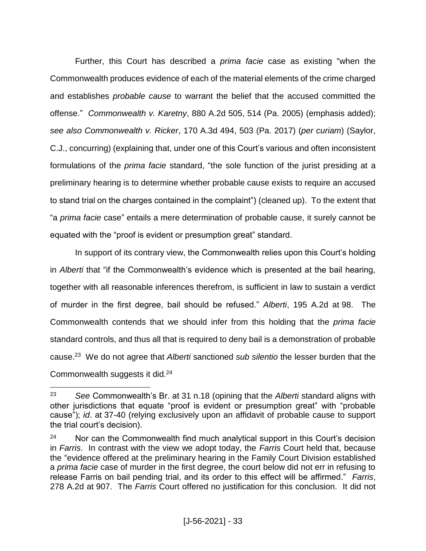Further, this Court has described a *prima facie* case as existing "when the Commonwealth produces evidence of each of the material elements of the crime charged and establishes *probable cause* to warrant the belief that the accused committed the offense." *Commonwealth v. Karetny*, 880 A.2d 505, 514 (Pa. 2005) (emphasis added); *see also Commonwealth v. Ricker*, 170 A.3d 494, 503 (Pa. 2017) (*per curiam*) (Saylor, C.J., concurring) (explaining that, under one of this Court's various and often inconsistent formulations of the *prima facie* standard, "the sole function of the jurist presiding at a preliminary hearing is to determine whether probable cause exists to require an accused to stand trial on the charges contained in the complaint") (cleaned up). To the extent that "a *prima facie* case" entails a mere determination of probable cause, it surely cannot be equated with the "proof is evident or presumption great" standard.

In support of its contrary view, the Commonwealth relies upon this Court's holding in *Alberti* that "if the Commonwealth's evidence which is presented at the bail hearing, together with all reasonable inferences therefrom, is sufficient in law to sustain a verdict of murder in the first degree, bail should be refused." *Alberti*, 195 A.2d at 98. The Commonwealth contends that we should infer from this holding that the *prima facie* standard controls, and thus all that is required to deny bail is a demonstration of probable cause.<sup>23</sup> We do not agree that *Alberti* sanctioned *sub silentio* the lesser burden that the Commonwealth suggests it did.<sup>24</sup>

<sup>23</sup> *See* Commonwealth's Br. at 31 n.18 (opining that the *Alberti* standard aligns with other jurisdictions that equate "proof is evident or presumption great" with "probable cause"); *id*. at 37-40 (relying exclusively upon an affidavit of probable cause to support the trial court's decision).

 $24$  Nor can the Commonwealth find much analytical support in this Court's decision in *Farris*. In contrast with the view we adopt today, the *Farris* Court held that, because the "evidence offered at the preliminary hearing in the Family Court Division established a *prima facie* case of murder in the first degree, the court below did not err in refusing to release Farris on bail pending trial, and its order to this effect will be affirmed." *Farris*, 278 A.2d at 907. The *Farris* Court offered no justification for this conclusion. It did not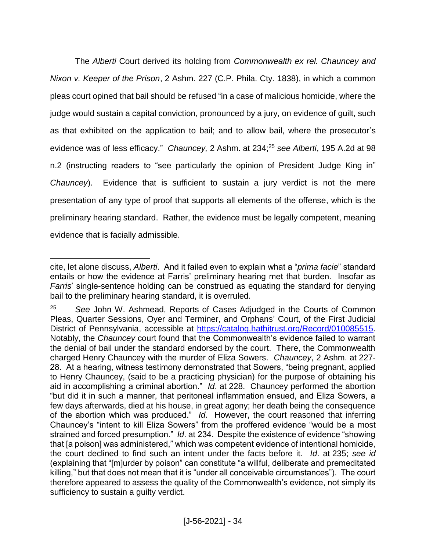The *Alberti* Court derived its holding from *Commonwealth ex rel. Chauncey and Nixon v. Keeper of the Prison*, 2 Ashm. 227 (C.P. Phila. Cty. 1838), in which a common pleas court opined that bail should be refused "in a case of malicious homicide, where the judge would sustain a capital conviction, pronounced by a jury, on evidence of guilt, such as that exhibited on the application to bail; and to allow bail, where the prosecutor's evidence was of less efficacy." *Chauncey,* 2 Ashm. at 234; <sup>25</sup> *see Alberti*, 195 A.2d at 98 n.2 (instructing readers to "see particularly the opinion of President Judge King in" *Chauncey*). Evidence that is sufficient to sustain a jury verdict is not the mere presentation of any type of proof that supports all elements of the offense, which is the preliminary hearing standard. Rather, the evidence must be legally competent, meaning evidence that is facially admissible.

 $\overline{a}$ cite, let alone discuss, *Alberti*. And it failed even to explain what a "*prima facie*" standard entails or how the evidence at Farris' preliminary hearing met that burden. Insofar as *Farris*' single-sentence holding can be construed as equating the standard for denying bail to the preliminary hearing standard, it is overruled.

<sup>25</sup> *See* John W. Ashmead, Reports of Cases Adjudged in the Courts of Common Pleas, Quarter Sessions, Oyer and Terminer, and Orphans' Court, of the First Judicial District of Pennsylvania, accessible at [https://catalog.hathitrust.org/Record/010085515.](https://catalog.hathitrust.org/Record/010085515) Notably, the *Chauncey* court found that the Commonwealth's evidence failed to warrant the denial of bail under the standard endorsed by the court. There, the Commonwealth charged Henry Chauncey with the murder of Eliza Sowers. *Chauncey*, 2 Ashm. at 227- 28. At a hearing, witness testimony demonstrated that Sowers, "being pregnant, applied to Henry Chauncey, (said to be a practicing physician) for the purpose of obtaining his aid in accomplishing a criminal abortion." *Id*. at 228. Chauncey performed the abortion "but did it in such a manner, that peritoneal inflammation ensued, and Eliza Sowers, a few days afterwards, died at his house, in great agony; her death being the consequence of the abortion which was produced." *Id*. However, the court reasoned that inferring Chauncey's "intent to kill Eliza Sowers" from the proffered evidence "would be a most strained and forced presumption." *Id*. at 234. Despite the existence of evidence "showing that [a poison] was administered," which was competent evidence of intentional homicide, the court declined to find such an intent under the facts before it. *Id*. at 235; *see id* (explaining that "[m]urder by poison" can constitute "a willful, deliberate and premeditated killing," but that does not mean that it is "under all conceivable circumstances"). The court therefore appeared to assess the quality of the Commonwealth's evidence, not simply its sufficiency to sustain a guilty verdict.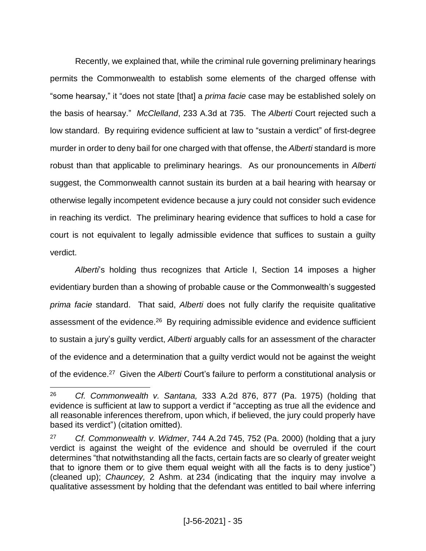Recently, we explained that, while the criminal rule governing preliminary hearings permits the Commonwealth to establish some elements of the charged offense with "some hearsay," it "does not state [that] a *prima facie* case may be established solely on the basis of hearsay." *McClelland*, 233 A.3d at 735. The *Alberti* Court rejected such a low standard. By requiring evidence sufficient at law to "sustain a verdict" of first-degree murder in order to deny bail for one charged with that offense, the *Alberti* standard is more robust than that applicable to preliminary hearings. As our pronouncements in *Alberti* suggest, the Commonwealth cannot sustain its burden at a bail hearing with hearsay or otherwise legally incompetent evidence because a jury could not consider such evidence in reaching its verdict. The preliminary hearing evidence that suffices to hold a case for court is not equivalent to legally admissible evidence that suffices to sustain a guilty verdict.

*Alberti*'s holding thus recognizes that Article I, Section 14 imposes a higher evidentiary burden than a showing of probable cause or the Commonwealth's suggested *prima facie* standard. That said, *Alberti* does not fully clarify the requisite qualitative assessment of the evidence.<sup>26</sup> By requiring admissible evidence and evidence sufficient to sustain a jury's guilty verdict, *Alberti* arguably calls for an assessment of the character of the evidence and a determination that a guilty verdict would not be against the weight of the evidence. 27 Given the *Alberti* Court's failure to perform a constitutional analysis or

 $\overline{a}$ <sup>26</sup> *Cf. Commonwealth v. Santana,* 333 A.2d 876, 877 (Pa. 1975) (holding that evidence is sufficient at law to support a verdict if "accepting as true all the evidence and all reasonable inferences therefrom, upon which, if believed, the jury could properly have based its verdict") (citation omitted).

<sup>27</sup> *Cf. Commonwealth v. Widmer*, 744 A.2d 745, 752 (Pa. 2000) (holding that a jury verdict is against the weight of the evidence and should be overruled if the court determines "that notwithstanding all the facts, certain facts are so clearly of greater weight that to ignore them or to give them equal weight with all the facts is to deny justice") (cleaned up); *Chauncey,* 2 Ashm. at 234 (indicating that the inquiry may involve a qualitative assessment by holding that the defendant was entitled to bail where inferring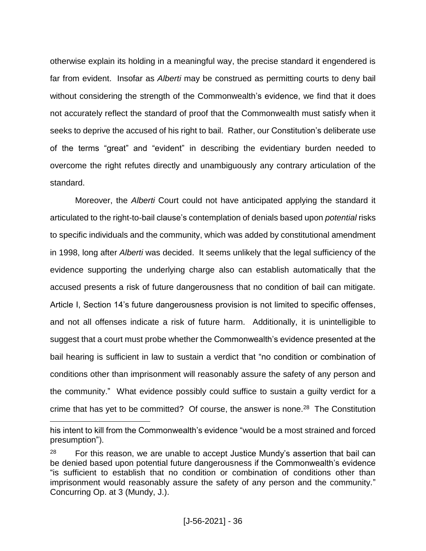otherwise explain its holding in a meaningful way, the precise standard it engendered is far from evident. Insofar as *Alberti* may be construed as permitting courts to deny bail without considering the strength of the Commonwealth's evidence, we find that it does not accurately reflect the standard of proof that the Commonwealth must satisfy when it seeks to deprive the accused of his right to bail. Rather, our Constitution's deliberate use of the terms "great" and "evident" in describing the evidentiary burden needed to overcome the right refutes directly and unambiguously any contrary articulation of the standard.

Moreover, the *Alberti* Court could not have anticipated applying the standard it articulated to the right-to-bail clause's contemplation of denials based upon *potential* risks to specific individuals and the community, which was added by constitutional amendment in 1998, long after *Alberti* was decided. It seems unlikely that the legal sufficiency of the evidence supporting the underlying charge also can establish automatically that the accused presents a risk of future dangerousness that no condition of bail can mitigate. Article I, Section 14's future dangerousness provision is not limited to specific offenses, and not all offenses indicate a risk of future harm. Additionally, it is unintelligible to suggest that a court must probe whether the Commonwealth's evidence presented at the bail hearing is sufficient in law to sustain a verdict that "no condition or combination of conditions other than imprisonment will reasonably assure the safety of any person and the community." What evidence possibly could suffice to sustain a guilty verdict for a crime that has yet to be committed? Of course, the answer is none. <sup>28</sup> The Constitution

his intent to kill from the Commonwealth's evidence "would be a most strained and forced presumption").

 $28$  For this reason, we are unable to accept Justice Mundy's assertion that bail can be denied based upon potential future dangerousness if the Commonwealth's evidence "is sufficient to establish that no condition or combination of conditions other than imprisonment would reasonably assure the safety of any person and the community." Concurring Op. at 3 (Mundy, J.).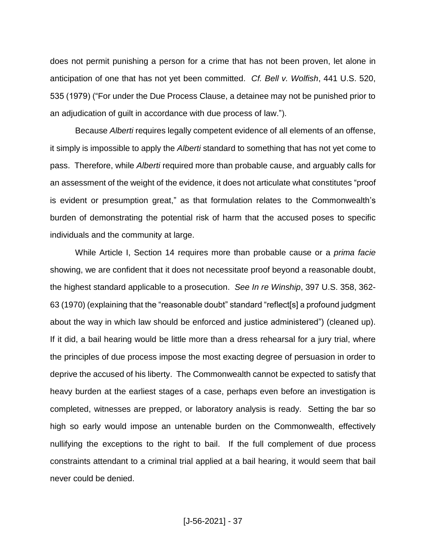does not permit punishing a person for a crime that has not been proven, let alone in anticipation of one that has not yet been committed. *Cf. Bell v. Wolfish*, 441 U.S. 520, 535 (1979) ("For under the Due Process Clause, a detainee may not be punished prior to an adjudication of guilt in accordance with due process of law.").

Because *Alberti* requires legally competent evidence of all elements of an offense, it simply is impossible to apply the *Alberti* standard to something that has not yet come to pass. Therefore, while *Alberti* required more than probable cause, and arguably calls for an assessment of the weight of the evidence, it does not articulate what constitutes "proof is evident or presumption great," as that formulation relates to the Commonwealth's burden of demonstrating the potential risk of harm that the accused poses to specific individuals and the community at large.

While Article I, Section 14 requires more than probable cause or a *prima facie*  showing, we are confident that it does not necessitate proof beyond a reasonable doubt, the highest standard applicable to a prosecution. *See In re Winship*, 397 U.S. 358, 362- 63 (1970) (explaining that the "reasonable doubt" standard "reflect[s] a profound judgment about the way in which law should be enforced and justice administered") (cleaned up). If it did, a bail hearing would be little more than a dress rehearsal for a jury trial, where the principles of due process impose the most exacting degree of persuasion in order to deprive the accused of his liberty. The Commonwealth cannot be expected to satisfy that heavy burden at the earliest stages of a case, perhaps even before an investigation is completed, witnesses are prepped, or laboratory analysis is ready. Setting the bar so high so early would impose an untenable burden on the Commonwealth, effectively nullifying the exceptions to the right to bail. If the full complement of due process constraints attendant to a criminal trial applied at a bail hearing, it would seem that bail never could be denied.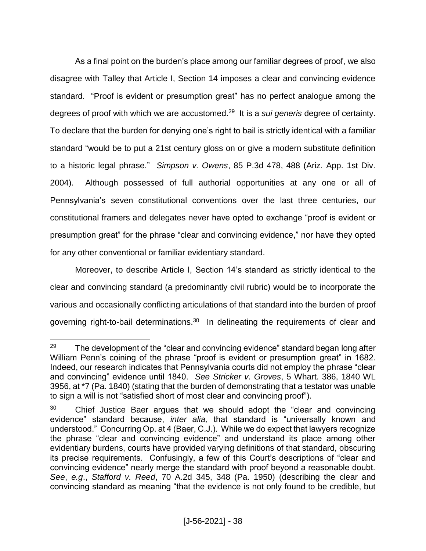As a final point on the burden's place among our familiar degrees of proof, we also disagree with Talley that Article I, Section 14 imposes a clear and convincing evidence standard. "Proof is evident or presumption great" has no perfect analogue among the degrees of proof with which we are accustomed.<sup>29</sup> It is a *sui generis* degree of certainty. To declare that the burden for denying one's right to bail is strictly identical with a familiar standard "would be to put a 21st century gloss on or give a modern substitute definition to a historic legal phrase." *Simpson v. Owens*, 85 P.3d 478, 488 (Ariz. App. 1st Div. 2004). Although possessed of full authorial opportunities at any one or all of Pennsylvania's seven constitutional conventions over the last three centuries, our constitutional framers and delegates never have opted to exchange "proof is evident or presumption great" for the phrase "clear and convincing evidence," nor have they opted for any other conventional or familiar evidentiary standard.

Moreover, to describe Article I, Section 14's standard as strictly identical to the clear and convincing standard (a predominantly civil rubric) would be to incorporate the various and occasionally conflicting articulations of that standard into the burden of proof governing right-to-bail determinations.<sup>30</sup> In delineating the requirements of clear and

 $\overline{a}$  $29$  The development of the "clear and convincing evidence" standard began long after William Penn's coining of the phrase "proof is evident or presumption great" in 1682. Indeed, our research indicates that Pennsylvania courts did not employ the phrase "clear and convincing" evidence until 1840. *See Stricker v. Groves*, 5 Whart. 386, 1840 WL 3956, at \*7 (Pa. 1840) (stating that the burden of demonstrating that a testator was unable to sign a will is not "satisfied short of most clear and convincing proof").

 $30$  Chief Justice Baer argues that we should adopt the "clear and convincing evidence" standard because, *inter alia,* that standard is "universally known and understood." Concurring Op. at 4 (Baer, C.J.). While we do expect that lawyers recognize the phrase "clear and convincing evidence" and understand its place among other evidentiary burdens, courts have provided varying definitions of that standard, obscuring its precise requirements. Confusingly, a few of this Court's descriptions of "clear and convincing evidence" nearly merge the standard with proof beyond a reasonable doubt. *See*, *e.g*., *Stafford v. Reed*, 70 A.2d 345, 348 (Pa. 1950) (describing the clear and convincing standard as meaning "that the evidence is not only found to be credible, but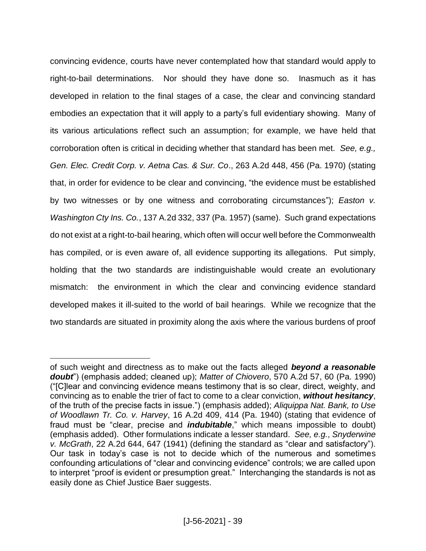convincing evidence, courts have never contemplated how that standard would apply to right-to-bail determinations. Nor should they have done so. Inasmuch as it has developed in relation to the final stages of a case, the clear and convincing standard embodies an expectation that it will apply to a party's full evidentiary showing. Many of its various articulations reflect such an assumption; for example, we have held that corroboration often is critical in deciding whether that standard has been met. *See, e.g., Gen. Elec. Credit Corp. v. Aetna Cas. & Sur. Co*., 263 A.2d 448, 456 (Pa. 1970) (stating that, in order for evidence to be clear and convincing, "the evidence must be established by two witnesses or by one witness and corroborating circumstances"); *Easton v. Washington Cty Ins. Co.*, 137 A.2d 332, 337 (Pa. 1957) (same). Such grand expectations do not exist at a right-to-bail hearing, which often will occur well before the Commonwealth has compiled, or is even aware of, all evidence supporting its allegations. Put simply, holding that the two standards are indistinguishable would create an evolutionary mismatch: the environment in which the clear and convincing evidence standard developed makes it ill-suited to the world of bail hearings. While we recognize that the two standards are situated in proximity along the axis where the various burdens of proof

of such weight and directness as to make out the facts alleged *beyond a reasonable doubt*") (emphasis added; cleaned up); *Matter of Chiovero*, 570 A.2d 57, 60 (Pa. 1990) ("[C]lear and convincing evidence means testimony that is so clear, direct, weighty, and convincing as to enable the trier of fact to come to a clear conviction, *without hesitancy*, of the truth of the precise facts in issue.") (emphasis added); *Aliquippa Nat. Bank, to Use of Woodlawn Tr. Co. v. Harvey*, 16 A.2d 409, 414 (Pa. 1940) (stating that evidence of fraud must be "clear, precise and *indubitable*," which means impossible to doubt) (emphasis added). Other formulations indicate a lesser standard. *See, e.g.*, *Snyderwine v. McGrath*, 22 A.2d 644, 647 (1941) (defining the standard as "clear and satisfactory"). Our task in today's case is not to decide which of the numerous and sometimes confounding articulations of "clear and convincing evidence" controls; we are called upon to interpret "proof is evident or presumption great." Interchanging the standards is not as easily done as Chief Justice Baer suggests.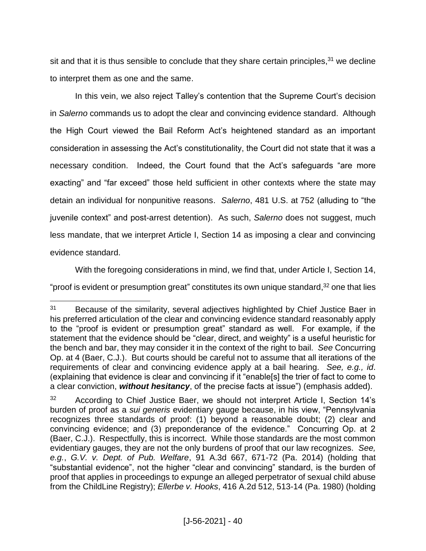sit and that it is thus sensible to conclude that they share certain principles, $31$  we decline to interpret them as one and the same.

In this vein, we also reject Talley's contention that the Supreme Court's decision in *Salerno* commands us to adopt the clear and convincing evidence standard. Although the High Court viewed the Bail Reform Act's heightened standard as an important consideration in assessing the Act's constitutionality, the Court did not state that it was a necessary condition. Indeed, the Court found that the Act's safeguards "are more exacting" and "far exceed" those held sufficient in other contexts where the state may detain an individual for nonpunitive reasons. *Salerno*, 481 U.S. at 752 (alluding to "the juvenile context" and post-arrest detention). As such, *Salerno* does not suggest, much less mandate, that we interpret Article I, Section 14 as imposing a clear and convincing evidence standard.

With the foregoing considerations in mind, we find that, under Article I, Section 14, "proof is evident or presumption great" constitutes its own unique standard,<sup>32</sup> one that lies

<sup>&</sup>lt;sup>31</sup> Because of the similarity, several adjectives highlighted by Chief Justice Baer in his preferred articulation of the clear and convincing evidence standard reasonably apply to the "proof is evident or presumption great" standard as well. For example, if the statement that the evidence should be "clear, direct, and weighty" is a useful heuristic for the bench and bar, they may consider it in the context of the right to bail. *See* Concurring Op. at 4 (Baer, C.J.). But courts should be careful not to assume that all iterations of the requirements of clear and convincing evidence apply at a bail hearing. *See, e.g., id*. (explaining that evidence is clear and convincing if it "enable[s] the trier of fact to come to a clear conviction, *without hesitancy*, of the precise facts at issue") (emphasis added).

<sup>&</sup>lt;sup>32</sup> According to Chief Justice Baer, we should not interpret Article I, Section 14's burden of proof as a *sui generis* evidentiary gauge because, in his view, "Pennsylvania recognizes three standards of proof: (1) beyond a reasonable doubt; (2) clear and convincing evidence; and (3) preponderance of the evidence." Concurring Op. at 2 (Baer, C.J.). Respectfully, this is incorrect. While those standards are the most common evidentiary gauges, they are not the only burdens of proof that our law recognizes. *See, e.g.*, *G.V. v. Dept. of Pub. Welfare*, 91 A.3d 667, 671-72 (Pa. 2014) (holding that "substantial evidence", not the higher "clear and convincing" standard, is the burden of proof that applies in proceedings to expunge an alleged perpetrator of sexual child abuse from the ChildLine Registry); *Ellerbe v. Hooks*, 416 A.2d 512, 513-14 (Pa. 1980) (holding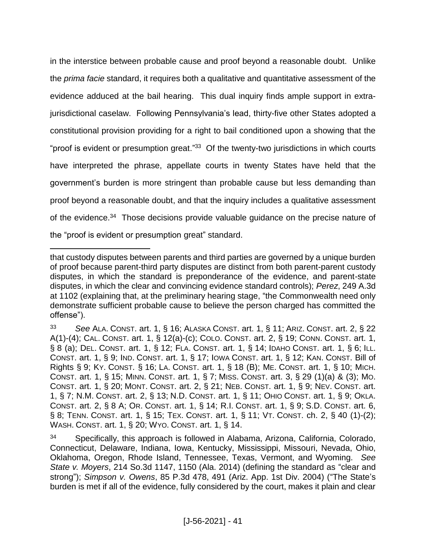in the interstice between probable cause and proof beyond a reasonable doubt. Unlike the *prima facie* standard, it requires both a qualitative and quantitative assessment of the evidence adduced at the bail hearing. This dual inquiry finds ample support in extrajurisdictional caselaw. Following Pennsylvania's lead, thirty-five other States adopted a constitutional provision providing for a right to bail conditioned upon a showing that the "proof is evident or presumption great."<sup>33</sup> Of the twenty-two jurisdictions in which courts have interpreted the phrase, appellate courts in twenty States have held that the government's burden is more stringent than probable cause but less demanding than proof beyond a reasonable doubt, and that the inquiry includes a qualitative assessment of the evidence.<sup>34</sup> Those decisions provide valuable guidance on the precise nature of the "proof is evident or presumption great" standard.

that custody disputes between parents and third parties are governed by a unique burden of proof because parent-third party disputes are distinct from both parent-parent custody disputes, in which the standard is preponderance of the evidence, and parent-state disputes, in which the clear and convincing evidence standard controls); *Perez*, 249 A.3d at 1102 (explaining that, at the preliminary hearing stage, "the Commonwealth need only demonstrate sufficient probable cause to believe the person charged has committed the offense").

<sup>33</sup> *See* ALA. CONST. art. 1, § 16; ALASKA CONST. art. 1, § 11; ARIZ. CONST. art. 2, § 22 A(1)-(4); CAL. CONST. art. 1, § 12(a)-(c); COLO. CONST. art. 2, § 19; CONN. CONST. art. 1, § 8 (a); DEL. CONST. art. 1, § 12; FLA. CONST. art. 1, § 14; IDAHO CONST. art. 1, § 6; ILL. CONST. art. 1, § 9; IND. CONST. art. 1, § 17; IOWA CONST. art. 1, § 12; KAN. CONST. Bill of Rights § 9; KY. CONST. § 16; LA. CONST. art. 1, § 18 (B); ME. CONST. art. 1, § 10; MICH. CONST. art. 1, § 15; MINN. CONST. art. 1, § 7; MISS. CONST. art. 3, § 29 (1)(a) & (3); MO. CONST. art. 1, § 20; MONT. CONST. art. 2, § 21; NEB. CONST. art. 1, § 9; NEV. CONST. art. 1, § 7; N.M. CONST. art. 2, § 13; N.D. CONST. art. 1, § 11; OHIO CONST. art. 1, § 9; OKLA. CONST. art. 2, § 8 A; OR. CONST. art. 1, § 14; R.I. CONST. art. 1, § 9; S.D. CONST. art. 6, § 8; TENN. CONST. art. 1, § 15; TEX. CONST. art. 1, § 11; VT. CONST. ch. 2, § 40 (1)-(2); WASH. CONST. art. 1, § 20; WYO. CONST. art. 1, § 14.

<sup>34</sup> Specifically, this approach is followed in Alabama, Arizona, California, Colorado, Connecticut, Delaware, Indiana, Iowa, Kentucky, Mississippi, Missouri, Nevada, Ohio, Oklahoma, Oregon, Rhode Island, Tennessee, Texas, Vermont, and Wyoming. *See State v. Moyers*, 214 So.3d 1147, 1150 (Ala. 2014) (defining the standard as "clear and strong"); *Simpson v. Owens*, 85 P.3d 478, 491 (Ariz. App. 1st Div. 2004) ("The State's burden is met if all of the evidence, fully considered by the court, makes it plain and clear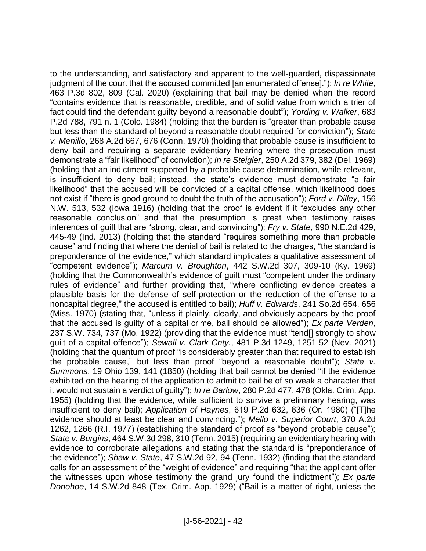to the understanding, and satisfactory and apparent to the well-guarded, dispassionate judgment of the court that the accused committed [an enumerated offense]."); *In re White*, 463 P.3d 802, 809 (Cal. 2020) (explaining that bail may be denied when the record "contains evidence that is reasonable, credible, and of solid value from which a trier of fact could find the defendant guilty beyond a reasonable doubt"); *Yording v. Walker*, 683 P.2d 788, 791 n. 1 (Colo. 1984) (holding that the burden is "greater than probable cause but less than the standard of beyond a reasonable doubt required for conviction"); *State v. Menillo*, 268 A.2d 667, 676 (Conn. 1970) (holding that probable cause is insufficient to deny bail and requiring a separate evidentiary hearing where the prosecution must demonstrate a "fair likelihood" of conviction); *In re Steigler*, 250 A.2d 379, 382 (Del. 1969) (holding that an indictment supported by a probable cause determination, while relevant, is insufficient to deny bail; instead, the state's evidence must demonstrate "a fair likelihood" that the accused will be convicted of a capital offense, which likelihood does not exist if "there is good ground to doubt the truth of the accusation"); *Ford v. Dilley*, 156 N.W. 513, 532 (Iowa 1916) (holding that the proof is evident if it "excludes any other reasonable conclusion" and that the presumption is great when testimony raises inferences of guilt that are "strong, clear, and convincing"); *Fry v. State*, 990 N.E.2d 429, 445-49 (Ind. 2013) (holding that the standard "requires something more than probable cause" and finding that where the denial of bail is related to the charges, "the standard is preponderance of the evidence," which standard implicates a qualitative assessment of "competent evidence"); *Marcum v. Broughton*, 442 S.W.2d 307, 309-10 (Ky. 1969) (holding that the Commonwealth's evidence of guilt must "competent under the ordinary rules of evidence" and further providing that, "where conflicting evidence creates a plausible basis for the defense of self-protection or the reduction of the offense to a noncapital degree," the accused is entitled to bail); *Huff v. Edwards*, 241 So.2d 654, 656 (Miss. 1970) (stating that, "unless it plainly, clearly, and obviously appears by the proof that the accused is guilty of a capital crime, bail should be allowed"); *Ex parte Verden*, 237 S.W. 734, 737 (Mo. 1922) (providing that the evidence must "tend[] strongly to show guilt of a capital offence"); *Sewall v. Clark Cnty.*, 481 P.3d 1249, 1251-52 (Nev. 2021) (holding that the quantum of proof "is considerably greater than that required to establish the probable cause," but less than proof "beyond a reasonable doubt"); *State v. Summons*, 19 Ohio 139, 141 (1850) (holding that bail cannot be denied "if the evidence exhibited on the hearing of the application to admit to bail be of so weak a character that it would not sustain a verdict of guilty"); *In re Barlow*, 280 P.2d 477, 478 (Okla. Crim. App. 1955) (holding that the evidence, while sufficient to survive a preliminary hearing, was insufficient to deny bail); *Application of Haynes*, 619 P.2d 632, 636 (Or. 1980) ("[T]he evidence should at least be clear and convincing."); *Mello v. Superior Court*, 370 A.2d 1262, 1266 (R.I. 1977) (establishing the standard of proof as "beyond probable cause"); *State v. Burgins*, 464 S.W.3d 298, 310 (Tenn. 2015) (requiring an evidentiary hearing with evidence to corroborate allegations and stating that the standard is "preponderance of the evidence"); *Shaw v. State*, 47 S.W.2d 92, 94 (Tenn. 1932) (finding that the standard calls for an assessment of the "weight of evidence" and requiring "that the applicant offer the witnesses upon whose testimony the grand jury found the indictment"); *Ex parte Donohoe*, 14 S.W.2d 848 (Tex. Crim. App. 1929) ("Bail is a matter of right, unless the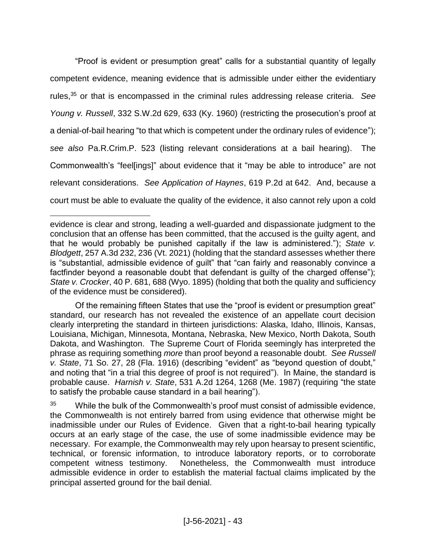"Proof is evident or presumption great" calls for a substantial quantity of legally competent evidence, meaning evidence that is admissible under either the evidentiary rules, <sup>35</sup> or that is encompassed in the criminal rules addressing release criteria. *See Young v. Russell*, 332 S.W.2d 629, 633 (Ky. 1960) (restricting the prosecution's proof at a denial-of-bail hearing "to that which is competent under the ordinary rules of evidence"); *see also* Pa.R.Crim.P. 523 (listing relevant considerations at a bail hearing). The Commonwealth's "feel[ings]" about evidence that it "may be able to introduce" are not relevant considerations. *See Application of Haynes*, 619 P.2d at 642. And, because a court must be able to evaluate the quality of the evidence, it also cannot rely upon a cold

evidence is clear and strong, leading a well-guarded and dispassionate judgment to the conclusion that an offense has been committed, that the accused is the guilty agent, and that he would probably be punished capitally if the law is administered."); *State v. Blodgett*, 257 A.3d 232, 236 (Vt. 2021) (holding that the standard assesses whether there is "substantial, admissible evidence of guilt" that "can fairly and reasonably convince a factfinder beyond a reasonable doubt that defendant is quilty of the charged offense"); *State v. Crocker*, 40 P. 681, 688 (Wyo. 1895) (holding that both the quality and sufficiency of the evidence must be considered).

Of the remaining fifteen States that use the "proof is evident or presumption great" standard, our research has not revealed the existence of an appellate court decision clearly interpreting the standard in thirteen jurisdictions: Alaska, Idaho, Illinois, Kansas, Louisiana, Michigan, Minnesota, Montana, Nebraska, New Mexico, North Dakota, South Dakota, and Washington. The Supreme Court of Florida seemingly has interpreted the phrase as requiring something *more* than proof beyond a reasonable doubt. *See Russell v. State*, 71 So. 27, 28 (Fla. 1916) (describing "evident" as "beyond question of doubt," and noting that "in a trial this degree of proof is not required"). In Maine, the standard is probable cause. *Harnish v. State*, 531 A.2d 1264, 1268 (Me. 1987) (requiring "the state to satisfy the probable cause standard in a bail hearing").

 $35$  While the bulk of the Commonwealth's proof must consist of admissible evidence, the Commonwealth is not entirely barred from using evidence that otherwise might be inadmissible under our Rules of Evidence. Given that a right-to-bail hearing typically occurs at an early stage of the case, the use of some inadmissible evidence may be necessary. For example, the Commonwealth may rely upon hearsay to present scientific, technical, or forensic information, to introduce laboratory reports, or to corroborate competent witness testimony. Nonetheless, the Commonwealth must introduce admissible evidence in order to establish the material factual claims implicated by the principal asserted ground for the bail denial.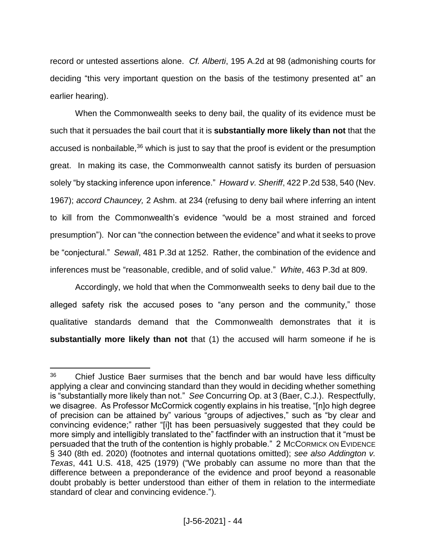record or untested assertions alone. *Cf. Alberti*, 195 A.2d at 98 (admonishing courts for deciding "this very important question on the basis of the testimony presented at" an earlier hearing).

When the Commonwealth seeks to deny bail, the quality of its evidence must be such that it persuades the bail court that it is **substantially more likely than not** that the accused is nonbailable,  $36$  which is just to say that the proof is evident or the presumption great. In making its case, the Commonwealth cannot satisfy its burden of persuasion solely "by stacking inference upon inference." *Howard v. Sheriff*, 422 P.2d 538, 540 (Nev. 1967); *accord Chauncey,* 2 Ashm. at 234 (refusing to deny bail where inferring an intent to kill from the Commonwealth's evidence "would be a most strained and forced presumption"). Nor can "the connection between the evidence" and what it seeks to prove be "conjectural." *Sewall*, 481 P.3d at 1252. Rather, the combination of the evidence and inferences must be "reasonable, credible, and of solid value." *White*, 463 P.3d at 809.

Accordingly, we hold that when the Commonwealth seeks to deny bail due to the alleged safety risk the accused poses to "any person and the community," those qualitative standards demand that the Commonwealth demonstrates that it is **substantially more likely than not** that (1) the accused will harm someone if he is

 $\overline{a}$ <sup>36</sup> Chief Justice Baer surmises that the bench and bar would have less difficulty applying a clear and convincing standard than they would in deciding whether something is "substantially more likely than not." *See* Concurring Op. at 3 (Baer, C.J.). Respectfully, we disagree. As Professor McCormick cogently explains in his treatise, "[n]o high degree of precision can be attained by" various "groups of adjectives," such as "by clear and convincing evidence;" rather "[i]t has been persuasively suggested that they could be more simply and intelligibly translated to the" factfinder with an instruction that it "must be persuaded that the truth of the contention is highly probable." 2 MCCORMICK ON EVIDENCE § 340 (8th ed. 2020) (footnotes and internal quotations omitted); *see also Addington v. Texas*, 441 U.S. 418, 425 (1979) ("We probably can assume no more than that the difference between a preponderance of the evidence and proof beyond a reasonable doubt probably is better understood than either of them in relation to the intermediate standard of clear and convincing evidence.").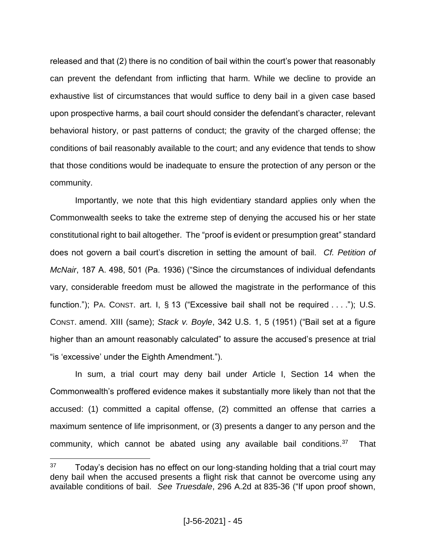released and that (2) there is no condition of bail within the court's power that reasonably can prevent the defendant from inflicting that harm. While we decline to provide an exhaustive list of circumstances that would suffice to deny bail in a given case based upon prospective harms, a bail court should consider the defendant's character, relevant behavioral history, or past patterns of conduct; the gravity of the charged offense; the conditions of bail reasonably available to the court; and any evidence that tends to show that those conditions would be inadequate to ensure the protection of any person or the community.

Importantly, we note that this high evidentiary standard applies only when the Commonwealth seeks to take the extreme step of denying the accused his or her state constitutional right to bail altogether. The "proof is evident or presumption great" standard does not govern a bail court's discretion in setting the amount of bail. *Cf. Petition of McNair*, 187 A. 498, 501 (Pa. 1936) ("Since the circumstances of individual defendants vary, considerable freedom must be allowed the magistrate in the performance of this function."); PA. CONST. art. I, § 13 ("Excessive bail shall not be required . . . ."); U.S. CONST. amend. XIII (same); *Stack v. Boyle*, 342 U.S. 1, 5 (1951) ("Bail set at a figure higher than an amount reasonably calculated" to assure the accused's presence at trial "is 'excessive' under the Eighth Amendment.").

In sum, a trial court may deny bail under Article I, Section 14 when the Commonwealth's proffered evidence makes it substantially more likely than not that the accused: (1) committed a capital offense, (2) committed an offense that carries a maximum sentence of life imprisonment, or (3) presents a danger to any person and the community, which cannot be abated using any available bail conditions. $37$  That

 $37$  Today's decision has no effect on our long-standing holding that a trial court may deny bail when the accused presents a flight risk that cannot be overcome using any available conditions of bail. *See Truesdale*, 296 A.2d at 835-36 ("If upon proof shown,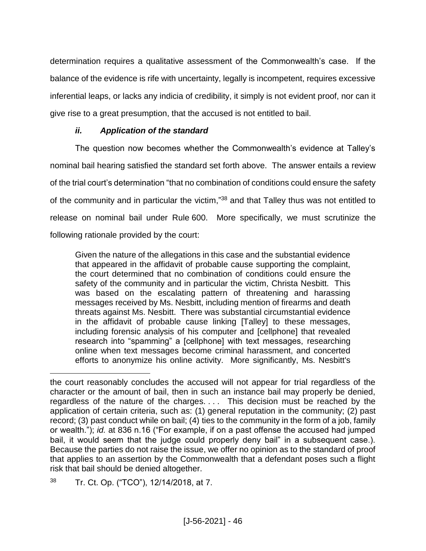determination requires a qualitative assessment of the Commonwealth's case. If the balance of the evidence is rife with uncertainty, legally is incompetent, requires excessive inferential leaps, or lacks any indicia of credibility, it simply is not evident proof, nor can it give rise to a great presumption, that the accused is not entitled to bail.

# *ii. Application of the standard*

The question now becomes whether the Commonwealth's evidence at Talley's nominal bail hearing satisfied the standard set forth above. The answer entails a review of the trial court's determination "that no combination of conditions could ensure the safety of the community and in particular the victim,"<sup>38</sup> and that Talley thus was not entitled to release on nominal bail under Rule 600. More specifically, we must scrutinize the following rationale provided by the court:

Given the nature of the allegations in this case and the substantial evidence that appeared in the affidavit of probable cause supporting the complaint, the court determined that no combination of conditions could ensure the safety of the community and in particular the victim, Christa Nesbitt. This was based on the escalating pattern of threatening and harassing messages received by Ms. Nesbitt, including mention of firearms and death threats against Ms. Nesbitt. There was substantial circumstantial evidence in the affidavit of probable cause linking [Talley] to these messages, including forensic analysis of his computer and [cellphone] that revealed research into "spamming" a [cellphone] with text messages, researching online when text messages become criminal harassment, and concerted efforts to anonymize his online activity. More significantly, Ms. Nesbitt's

the court reasonably concludes the accused will not appear for trial regardless of the character or the amount of bail, then in such an instance bail may properly be denied, regardless of the nature of the charges. . . . This decision must be reached by the application of certain criteria, such as: (1) general reputation in the community; (2) past record; (3) past conduct while on bail; (4) ties to the community in the form of a job, family or wealth."); *id.* at 836 n.16 ("For example, if on a past offense the accused had jumped bail, it would seem that the judge could properly deny bail" in a subsequent case.). Because the parties do not raise the issue, we offer no opinion as to the standard of proof that applies to an assertion by the Commonwealth that a defendant poses such a flight risk that bail should be denied altogether.

<sup>38</sup> Tr. Ct. Op. ("TCO"), 12/14/2018, at 7.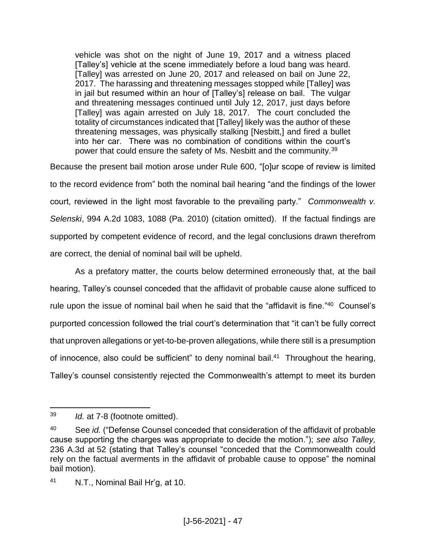vehicle was shot on the night of June 19, 2017 and a witness placed [Talley's] vehicle at the scene immediately before a loud bang was heard. [Talley] was arrested on June 20, 2017 and released on bail on June 22, 2017. The harassing and threatening messages stopped while [Talley] was in jail but resumed within an hour of [Talley's] release on bail. The vulgar and threatening messages continued until July 12, 2017, just days before [Talley] was again arrested on July 18, 2017. The court concluded the totality of circumstances indicated that [Talley] likely was the author of these threatening messages, was physically stalking [Nesbitt,] and fired a bullet into her car. There was no combination of conditions within the court's power that could ensure the safety of Ms. Nesbitt and the community.<sup>39</sup>

Because the present bail motion arose under Rule 600, "[o]ur scope of review is limited to the record evidence from" both the nominal bail hearing "and the findings of the lower court, reviewed in the light most favorable to the prevailing party." *Commonwealth v. Selenski*, 994 A.2d 1083, 1088 (Pa. 2010) (citation omitted). If the factual findings are supported by competent evidence of record, and the legal conclusions drawn therefrom are correct, the denial of nominal bail will be upheld.

As a prefatory matter, the courts below determined erroneously that, at the bail hearing, Talley's counsel conceded that the affidavit of probable cause alone sufficed to rule upon the issue of nominal bail when he said that the "affidavit is fine."<sup>40</sup> Counsel's purported concession followed the trial court's determination that "it can't be fully correct that unproven allegations or yet-to-be-proven allegations, while there still is a presumption of innocence, also could be sufficient" to deny nominal bail.<sup>41</sup> Throughout the hearing, Talley's counsel consistently rejected the Commonwealth's attempt to meet its burden

 $\overline{a}$ <sup>39</sup> *Id.* at 7-8 (footnote omitted).

<sup>40</sup> See *id.* ("Defense Counsel conceded that consideration of the affidavit of probable cause supporting the charges was appropriate to decide the motion."); *see also Talley,*  236 A.3d at 52 (stating that Talley's counsel "conceded that the Commonwealth could rely on the factual averments in the affidavit of probable cause to oppose" the nominal bail motion).

<sup>41</sup> N.T., Nominal Bail Hr'g, at 10.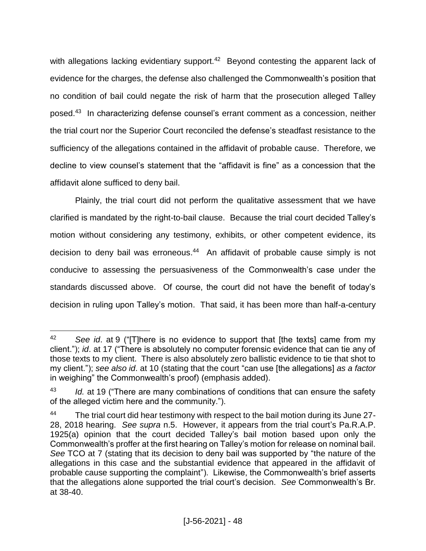with allegations lacking evidentiary support.<sup>42</sup> Beyond contesting the apparent lack of evidence for the charges, the defense also challenged the Commonwealth's position that no condition of bail could negate the risk of harm that the prosecution alleged Talley posed. <sup>43</sup> In characterizing defense counsel's errant comment as a concession, neither the trial court nor the Superior Court reconciled the defense's steadfast resistance to the sufficiency of the allegations contained in the affidavit of probable cause. Therefore, we decline to view counsel's statement that the "affidavit is fine" as a concession that the affidavit alone sufficed to deny bail.

Plainly, the trial court did not perform the qualitative assessment that we have clarified is mandated by the right-to-bail clause. Because the trial court decided Talley's motion without considering any testimony, exhibits, or other competent evidence, its decision to deny bail was erroneous. <sup>44</sup> An affidavit of probable cause simply is not conducive to assessing the persuasiveness of the Commonwealth's case under the standards discussed above. Of course, the court did not have the benefit of today's decision in ruling upon Talley's motion. That said, it has been more than half-a-century

 $\overline{a}$ <sup>42</sup> *See id*. at 9 ("[T]here is no evidence to support that [the texts] came from my client."); *id*. at 17 ("There is absolutely no computer forensic evidence that can tie any of those texts to my client. There is also absolutely zero ballistic evidence to tie that shot to my client."); *see also id*. at 10 (stating that the court "can use [the allegations] *as a factor* in weighing" the Commonwealth's proof) (emphasis added).

<sup>43</sup> *Id.* at 19 ("There are many combinations of conditions that can ensure the safety of the alleged victim here and the community.").

<sup>&</sup>lt;sup>44</sup> The trial court did hear testimony with respect to the bail motion during its June 27-28, 2018 hearing. *See supra* n.5. However, it appears from the trial court's Pa.R.A.P. 1925(a) opinion that the court decided Talley's bail motion based upon only the Commonwealth's proffer at the first hearing on Talley's motion for release on nominal bail. *See* TCO at 7 (stating that its decision to deny bail was supported by "the nature of the allegations in this case and the substantial evidence that appeared in the affidavit of probable cause supporting the complaint"). Likewise, the Commonwealth's brief asserts that the allegations alone supported the trial court's decision. *See* Commonwealth's Br. at 38-40.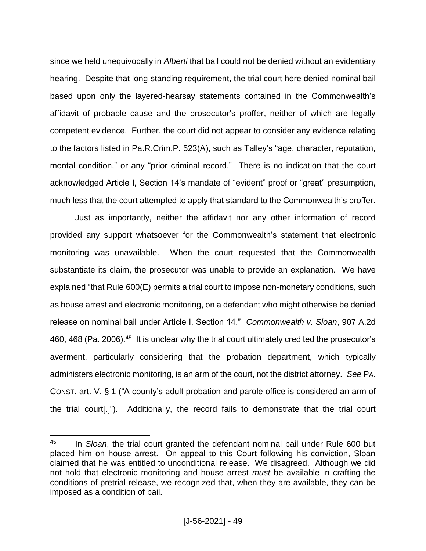since we held unequivocally in *Alberti* that bail could not be denied without an evidentiary hearing. Despite that long-standing requirement, the trial court here denied nominal bail based upon only the layered-hearsay statements contained in the Commonwealth's affidavit of probable cause and the prosecutor's proffer, neither of which are legally competent evidence. Further, the court did not appear to consider any evidence relating to the factors listed in Pa.R.Crim.P. 523(A), such as Talley's "age, character, reputation, mental condition," or any "prior criminal record." There is no indication that the court acknowledged Article I, Section 14's mandate of "evident" proof or "great" presumption, much less that the court attempted to apply that standard to the Commonwealth's proffer.

Just as importantly, neither the affidavit nor any other information of record provided any support whatsoever for the Commonwealth's statement that electronic monitoring was unavailable. When the court requested that the Commonwealth substantiate its claim, the prosecutor was unable to provide an explanation. We have explained "that Rule 600(E) permits a trial court to impose non-monetary conditions, such as house arrest and electronic monitoring, on a defendant who might otherwise be denied release on nominal bail under Article I, Section 14." *Commonwealth v. Sloan*, 907 A.2d 460, 468 (Pa. 2006).<sup>45</sup> It is unclear why the trial court ultimately credited the prosecutor's averment, particularly considering that the probation department, which typically administers electronic monitoring, is an arm of the court, not the district attorney. *See* PA. CONST. art. V, § 1 ("A county's adult probation and parole office is considered an arm of the trial court[.]"). Additionally, the record fails to demonstrate that the trial court

<sup>45</sup> In *Sloan*, the trial court granted the defendant nominal bail under Rule 600 but placed him on house arrest. On appeal to this Court following his conviction, Sloan claimed that he was entitled to unconditional release. We disagreed. Although we did not hold that electronic monitoring and house arrest *must* be available in crafting the conditions of pretrial release, we recognized that, when they are available, they can be imposed as a condition of bail.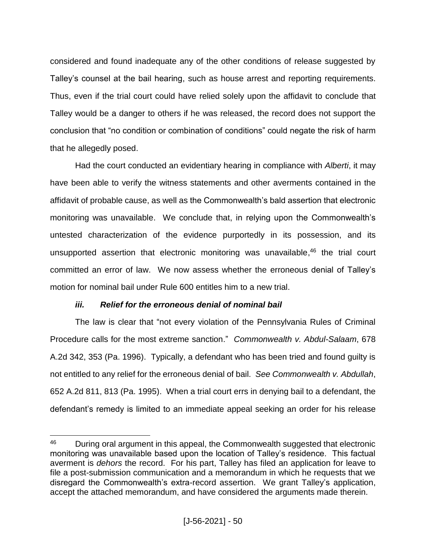considered and found inadequate any of the other conditions of release suggested by Talley's counsel at the bail hearing, such as house arrest and reporting requirements. Thus, even if the trial court could have relied solely upon the affidavit to conclude that Talley would be a danger to others if he was released, the record does not support the conclusion that "no condition or combination of conditions" could negate the risk of harm that he allegedly posed.

Had the court conducted an evidentiary hearing in compliance with *Alberti*, it may have been able to verify the witness statements and other averments contained in the affidavit of probable cause, as well as the Commonwealth's bald assertion that electronic monitoring was unavailable. We conclude that, in relying upon the Commonwealth's untested characterization of the evidence purportedly in its possession, and its unsupported assertion that electronic monitoring was unavailable, <sup>46</sup> the trial court committed an error of law. We now assess whether the erroneous denial of Talley's motion for nominal bail under Rule 600 entitles him to a new trial.

# *iii. Relief for the erroneous denial of nominal bail*

 $\overline{a}$ 

The law is clear that "not every violation of the Pennsylvania Rules of Criminal Procedure calls for the most extreme sanction." *Commonwealth v. Abdul-Salaam*, 678 A.2d 342, 353 (Pa. 1996). Typically, a defendant who has been tried and found guilty is not entitled to any relief for the erroneous denial of bail. *See Commonwealth v. Abdullah*, 652 A.2d 811, 813 (Pa. 1995). When a trial court errs in denying bail to a defendant, the defendant's remedy is limited to an immediate appeal seeking an order for his release

<sup>&</sup>lt;sup>46</sup> During oral argument in this appeal, the Commonwealth suggested that electronic monitoring was unavailable based upon the location of Talley's residence. This factual averment is *dehors* the record. For his part, Talley has filed an application for leave to file a post-submission communication and a memorandum in which he requests that we disregard the Commonwealth's extra-record assertion. We grant Talley's application, accept the attached memorandum, and have considered the arguments made therein.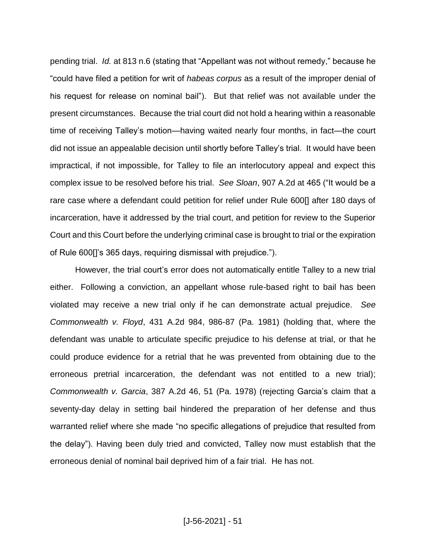pending trial. *Id.* at 813 n.6 (stating that "Appellant was not without remedy," because he "could have filed a petition for writ of *habeas corpus* as a result of the improper denial of his request for release on nominal bail"). But that relief was not available under the present circumstances. Because the trial court did not hold a hearing within a reasonable time of receiving Talley's motion—having waited nearly four months, in fact—the court did not issue an appealable decision until shortly before Talley's trial. It would have been impractical, if not impossible, for Talley to file an interlocutory appeal and expect this complex issue to be resolved before his trial. *See Sloan*, 907 A.2d at 465 ("It would be a rare case where a defendant could petition for relief under Rule 600[] after 180 days of incarceration, have it addressed by the trial court, and petition for review to the Superior Court and this Court before the underlying criminal case is brought to trial or the expiration of Rule 600[]'s 365 days, requiring dismissal with prejudice.").

However, the trial court's error does not automatically entitle Talley to a new trial either. Following a conviction, an appellant whose rule-based right to bail has been violated may receive a new trial only if he can demonstrate actual prejudice. *See Commonwealth v. Floyd*, 431 A.2d 984, 986-87 (Pa. 1981) (holding that, where the defendant was unable to articulate specific prejudice to his defense at trial, or that he could produce evidence for a retrial that he was prevented from obtaining due to the erroneous pretrial incarceration, the defendant was not entitled to a new trial); *Commonwealth v. Garcia*, 387 A.2d 46, 51 (Pa. 1978) (rejecting Garcia's claim that a seventy-day delay in setting bail hindered the preparation of her defense and thus warranted relief where she made "no specific allegations of prejudice that resulted from the delay"). Having been duly tried and convicted, Talley now must establish that the erroneous denial of nominal bail deprived him of a fair trial. He has not.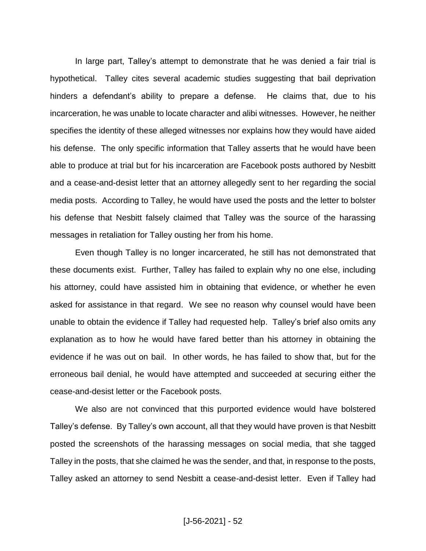In large part, Talley's attempt to demonstrate that he was denied a fair trial is hypothetical. Talley cites several academic studies suggesting that bail deprivation hinders a defendant's ability to prepare a defense. He claims that, due to his incarceration, he was unable to locate character and alibi witnesses. However, he neither specifies the identity of these alleged witnesses nor explains how they would have aided his defense. The only specific information that Talley asserts that he would have been able to produce at trial but for his incarceration are Facebook posts authored by Nesbitt and a cease-and-desist letter that an attorney allegedly sent to her regarding the social media posts. According to Talley, he would have used the posts and the letter to bolster his defense that Nesbitt falsely claimed that Talley was the source of the harassing messages in retaliation for Talley ousting her from his home.

Even though Talley is no longer incarcerated, he still has not demonstrated that these documents exist. Further, Talley has failed to explain why no one else, including his attorney, could have assisted him in obtaining that evidence, or whether he even asked for assistance in that regard. We see no reason why counsel would have been unable to obtain the evidence if Talley had requested help. Talley's brief also omits any explanation as to how he would have fared better than his attorney in obtaining the evidence if he was out on bail. In other words, he has failed to show that, but for the erroneous bail denial, he would have attempted and succeeded at securing either the cease-and-desist letter or the Facebook posts.

We also are not convinced that this purported evidence would have bolstered Talley's defense. By Talley's own account, all that they would have proven is that Nesbitt posted the screenshots of the harassing messages on social media, that she tagged Talley in the posts, that she claimed he was the sender, and that, in response to the posts, Talley asked an attorney to send Nesbitt a cease-and-desist letter. Even if Talley had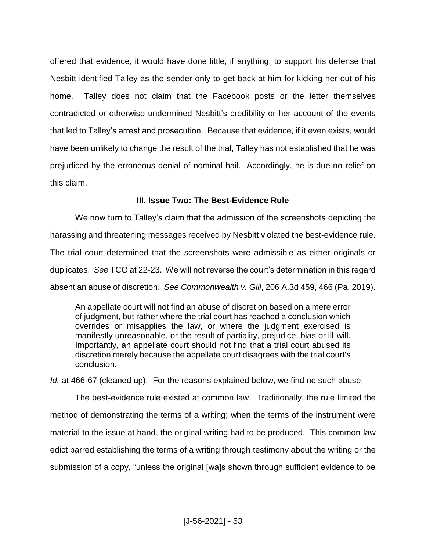offered that evidence, it would have done little, if anything, to support his defense that Nesbitt identified Talley as the sender only to get back at him for kicking her out of his home. Talley does not claim that the Facebook posts or the letter themselves contradicted or otherwise undermined Nesbitt's credibility or her account of the events that led to Talley's arrest and prosecution. Because that evidence, if it even exists, would have been unlikely to change the result of the trial, Talley has not established that he was prejudiced by the erroneous denial of nominal bail. Accordingly, he is due no relief on this claim.

# **III. Issue Two: The Best-Evidence Rule**

We now turn to Talley's claim that the admission of the screenshots depicting the harassing and threatening messages received by Nesbitt violated the best-evidence rule. The trial court determined that the screenshots were admissible as either originals or duplicates. *See* TCO at 22-23. We will not reverse the court's determination in this regard absent an abuse of discretion. *See Commonwealth v. Gill*, 206 A.3d 459, 466 (Pa. 2019).

An appellate court will not find an abuse of discretion based on a mere error of judgment, but rather where the trial court has reached a conclusion which overrides or misapplies the law, or where the judgment exercised is manifestly unreasonable, or the result of partiality, prejudice, bias or ill-will. Importantly, an appellate court should not find that a trial court abused its discretion merely because the appellate court disagrees with the trial court's conclusion.

*Id.* at 466-67 (cleaned up). For the reasons explained below, we find no such abuse.

The best-evidence rule existed at common law. Traditionally, the rule limited the method of demonstrating the terms of a writing; when the terms of the instrument were material to the issue at hand, the original writing had to be produced. This common-law edict barred establishing the terms of a writing through testimony about the writing or the submission of a copy, "unless the original [wa]s shown through sufficient evidence to be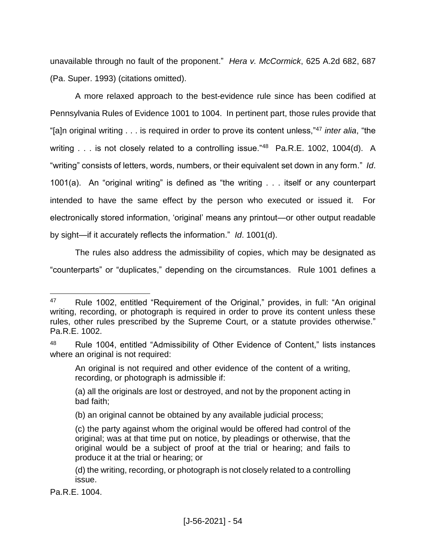unavailable through no fault of the proponent." *Hera v. McCormick*, 625 A.2d 682, 687 (Pa. Super. 1993) (citations omitted).

A more relaxed approach to the best-evidence rule since has been codified at Pennsylvania Rules of Evidence 1001 to 1004. In pertinent part, those rules provide that "[a]n original writing . . . is required in order to prove its content unless,"<sup>47</sup> *inter alia*, "the writing . . . is not closely related to a controlling issue."<sup>48</sup> Pa.R.E. 1002, 1004(d). A "writing" consists of letters, words, numbers, or their equivalent set down in any form." *Id*. 1001(a). An "original writing" is defined as "the writing . . . itself or any counterpart intended to have the same effect by the person who executed or issued it. For electronically stored information, 'original' means any printout—or other output readable by sight—if it accurately reflects the information." *Id*. 1001(d).

The rules also address the admissibility of copies, which may be designated as "counterparts" or "duplicates," depending on the circumstances. Rule 1001 defines a

Pa.R.E. 1004.

<sup>47</sup> Rule 1002, entitled "Requirement of the Original," provides, in full: "An original writing, recording, or photograph is required in order to prove its content unless these rules, other rules prescribed by the Supreme Court, or a statute provides otherwise." Pa.R.E. 1002.

<sup>48</sup> Rule 1004, entitled "Admissibility of Other Evidence of Content," lists instances where an original is not required:

An original is not required and other evidence of the content of a writing, recording, or photograph is admissible if:

<sup>(</sup>a) all the originals are lost or destroyed, and not by the proponent acting in bad faith;

<sup>(</sup>b) an original cannot be obtained by any available judicial process;

<sup>(</sup>c) the party against whom the original would be offered had control of the original; was at that time put on notice, by pleadings or otherwise, that the original would be a subject of proof at the trial or hearing; and fails to produce it at the trial or hearing; or

<sup>(</sup>d) the writing, recording, or photograph is not closely related to a controlling issue.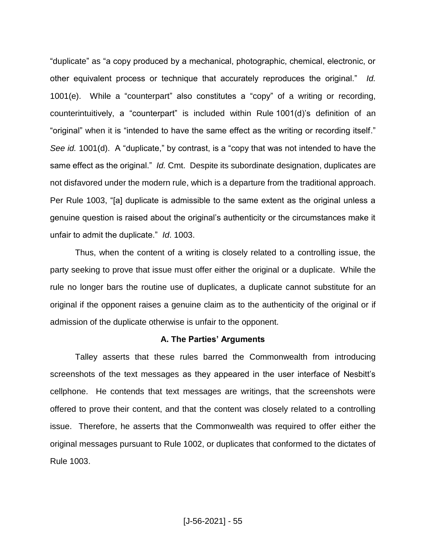"duplicate" as "a copy produced by a mechanical, photographic, chemical, electronic, or other equivalent process or technique that accurately reproduces the original." *Id.* 1001(e). While a "counterpart" also constitutes a "copy" of a writing or recording, counterintuitively, a "counterpart" is included within Rule 1001(d)'s definition of an "original" when it is "intended to have the same effect as the writing or recording itself." *See id.* 1001(d). A "duplicate," by contrast, is a "copy that was not intended to have the same effect as the original." *Id.* Cmt. Despite its subordinate designation, duplicates are not disfavored under the modern rule, which is a departure from the traditional approach. Per Rule 1003, "[a] duplicate is admissible to the same extent as the original unless a genuine question is raised about the original's authenticity or the circumstances make it unfair to admit the duplicate." *Id*. 1003.

Thus, when the content of a writing is closely related to a controlling issue, the party seeking to prove that issue must offer either the original or a duplicate. While the rule no longer bars the routine use of duplicates, a duplicate cannot substitute for an original if the opponent raises a genuine claim as to the authenticity of the original or if admission of the duplicate otherwise is unfair to the opponent.

#### **A. The Parties' Arguments**

Talley asserts that these rules barred the Commonwealth from introducing screenshots of the text messages as they appeared in the user interface of Nesbitt's cellphone. He contends that text messages are writings, that the screenshots were offered to prove their content, and that the content was closely related to a controlling issue. Therefore, he asserts that the Commonwealth was required to offer either the original messages pursuant to Rule 1002, or duplicates that conformed to the dictates of Rule 1003.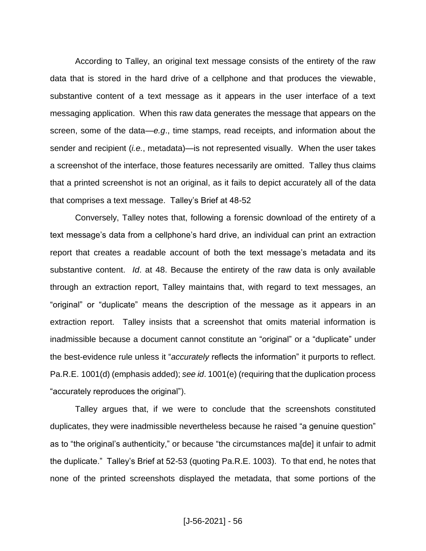According to Talley, an original text message consists of the entirety of the raw data that is stored in the hard drive of a cellphone and that produces the viewable, substantive content of a text message as it appears in the user interface of a text messaging application. When this raw data generates the message that appears on the screen, some of the data—*e.g*., time stamps, read receipts, and information about the sender and recipient (*i.e.*, metadata)—is not represented visually. When the user takes a screenshot of the interface, those features necessarily are omitted. Talley thus claims that a printed screenshot is not an original, as it fails to depict accurately all of the data that comprises a text message. Talley's Brief at 48-52

Conversely, Talley notes that, following a forensic download of the entirety of a text message's data from a cellphone's hard drive, an individual can print an extraction report that creates a readable account of both the text message's metadata and its substantive content. *Id*. at 48. Because the entirety of the raw data is only available through an extraction report, Talley maintains that, with regard to text messages, an "original" or "duplicate" means the description of the message as it appears in an extraction report. Talley insists that a screenshot that omits material information is inadmissible because a document cannot constitute an "original" or a "duplicate" under the best-evidence rule unless it "*accurately* reflects the information" it purports to reflect. Pa.R.E. 1001(d) (emphasis added); *see id*. 1001(e) (requiring that the duplication process "accurately reproduces the original").

Talley argues that, if we were to conclude that the screenshots constituted duplicates, they were inadmissible nevertheless because he raised "a genuine question" as to "the original's authenticity," or because "the circumstances ma[de] it unfair to admit the duplicate." Talley's Brief at 52-53 (quoting Pa.R.E. 1003). To that end, he notes that none of the printed screenshots displayed the metadata, that some portions of the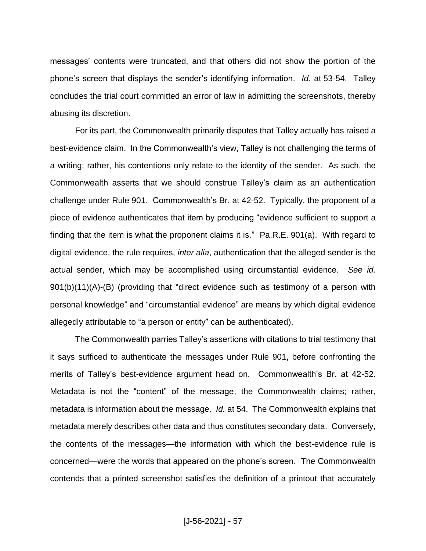messages' contents were truncated, and that others did not show the portion of the phone's screen that displays the sender's identifying information. *Id.* at 53-54. Talley concludes the trial court committed an error of law in admitting the screenshots, thereby abusing its discretion.

For its part, the Commonwealth primarily disputes that Talley actually has raised a best-evidence claim. In the Commonwealth's view, Talley is not challenging the terms of a writing; rather, his contentions only relate to the identity of the sender. As such, the Commonwealth asserts that we should construe Talley's claim as an authentication challenge under Rule 901. Commonwealth's Br. at 42-52. Typically, the proponent of a piece of evidence authenticates that item by producing "evidence sufficient to support a finding that the item is what the proponent claims it is." Pa.R.E. 901(a). With regard to digital evidence, the rule requires, *inter alia*, authentication that the alleged sender is the actual sender, which may be accomplished using circumstantial evidence. *See id.* 901(b)(11)(A)-(B) (providing that "direct evidence such as testimony of a person with personal knowledge" and "circumstantial evidence" are means by which digital evidence allegedly attributable to "a person or entity" can be authenticated).

The Commonwealth parries Talley's assertions with citations to trial testimony that it says sufficed to authenticate the messages under Rule 901, before confronting the merits of Talley's best-evidence argument head on. Commonwealth's Br. at 42-52. Metadata is not the "content" of the message, the Commonwealth claims; rather, metadata is information about the message. *Id.* at 54. The Commonwealth explains that metadata merely describes other data and thus constitutes secondary data. Conversely, the contents of the messages—the information with which the best-evidence rule is concerned—were the words that appeared on the phone's screen. The Commonwealth contends that a printed screenshot satisfies the definition of a printout that accurately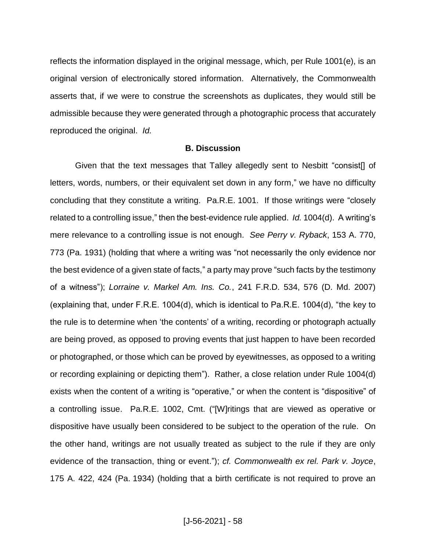reflects the information displayed in the original message, which, per Rule 1001(e), is an original version of electronically stored information. Alternatively, the Commonwealth asserts that, if we were to construe the screenshots as duplicates, they would still be admissible because they were generated through a photographic process that accurately reproduced the original. *Id.*

#### **B. Discussion**

Given that the text messages that Talley allegedly sent to Nesbitt "consist[] of letters, words, numbers, or their equivalent set down in any form," we have no difficulty concluding that they constitute a writing. Pa.R.E. 1001. If those writings were "closely related to a controlling issue," then the best-evidence rule applied. *Id.* 1004(d). A writing's mere relevance to a controlling issue is not enough. *See Perry v. Ryback*, 153 A. 770, 773 (Pa. 1931) (holding that where a writing was "not necessarily the only evidence nor the best evidence of a given state of facts," a party may prove "such facts by the testimony of a witness"); *Lorraine v. Markel Am. Ins. Co.*, 241 F.R.D. 534, 576 (D. Md. 2007) (explaining that, under F.R.E. 1004(d), which is identical to Pa.R.E. 1004(d), "the key to the rule is to determine when 'the contents' of a writing, recording or photograph actually are being proved, as opposed to proving events that just happen to have been recorded or photographed, or those which can be proved by eyewitnesses, as opposed to a writing or recording explaining or depicting them"). Rather, a close relation under Rule 1004(d) exists when the content of a writing is "operative," or when the content is "dispositive" of a controlling issue. Pa.R.E. 1002, Cmt. ("[W]ritings that are viewed as operative or dispositive have usually been considered to be subject to the operation of the rule. On the other hand, writings are not usually treated as subject to the rule if they are only evidence of the transaction, thing or event."); *cf. Commonwealth ex rel. Park v. Joyce*, 175 A. 422, 424 (Pa. 1934) (holding that a birth certificate is not required to prove an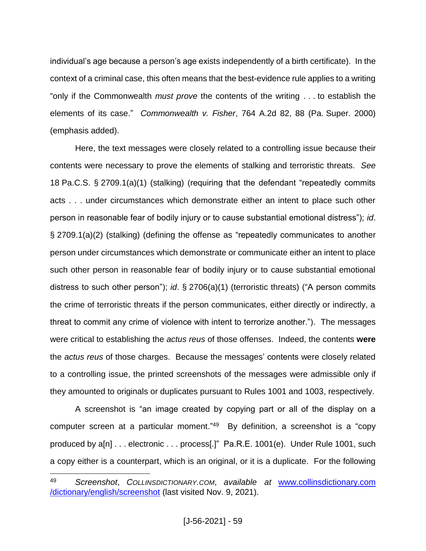individual's age because a person's age exists independently of a birth certificate). In the context of a criminal case, this often means that the best-evidence rule applies to a writing "only if the Commonwealth *must prove* the contents of the writing . . . to establish the elements of its case." *Commonwealth v. Fisher*, 764 A.2d 82, 88 (Pa. Super. 2000) (emphasis added).

Here, the text messages were closely related to a controlling issue because their contents were necessary to prove the elements of stalking and terroristic threats. *See* 18 Pa.C.S. § 2709.1(a)(1) (stalking) (requiring that the defendant "repeatedly commits acts . . . under circumstances which demonstrate either an intent to place such other person in reasonable fear of bodily injury or to cause substantial emotional distress"); *id*. § 2709.1(a)(2) (stalking) (defining the offense as "repeatedly communicates to another person under circumstances which demonstrate or communicate either an intent to place such other person in reasonable fear of bodily injury or to cause substantial emotional distress to such other person"); *id*. § 2706(a)(1) (terroristic threats) ("A person commits the crime of terroristic threats if the person communicates, either directly or indirectly, a threat to commit any crime of violence with intent to terrorize another."). The messages were critical to establishing the *actus reus* of those offenses. Indeed, the contents **were**  the *actus reus* of those charges. Because the messages' contents were closely related to a controlling issue, the printed screenshots of the messages were admissible only if they amounted to originals or duplicates pursuant to Rules 1001 and 1003, respectively.

A screenshot is "an image created by copying part or all of the display on a computer screen at a particular moment." <sup>49</sup> By definition, a screenshot is a "copy produced by a[n] . . . electronic . . . process[.]" Pa.R.E. 1001(e). Under Rule 1001, such a copy either is a counterpart, which is an original, or it is a duplicate. For the following

<sup>49</sup> *Screenshot*, *COLLINSDICTIONARY.COM*, *available at* [www.collinsdictionary.com](http://www.collinsdictionary.com/dictionary/english/screenshot) [/dictionary/english/screenshot](http://www.collinsdictionary.com/dictionary/english/screenshot) (last visited Nov. 9, 2021).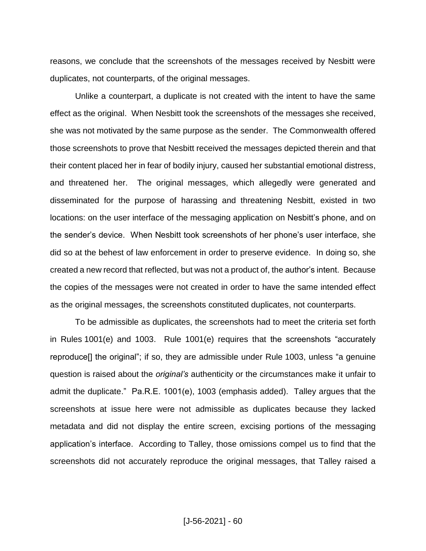reasons, we conclude that the screenshots of the messages received by Nesbitt were duplicates, not counterparts, of the original messages.

Unlike a counterpart, a duplicate is not created with the intent to have the same effect as the original. When Nesbitt took the screenshots of the messages she received, she was not motivated by the same purpose as the sender. The Commonwealth offered those screenshots to prove that Nesbitt received the messages depicted therein and that their content placed her in fear of bodily injury, caused her substantial emotional distress, and threatened her. The original messages, which allegedly were generated and disseminated for the purpose of harassing and threatening Nesbitt, existed in two locations: on the user interface of the messaging application on Nesbitt's phone, and on the sender's device. When Nesbitt took screenshots of her phone's user interface, she did so at the behest of law enforcement in order to preserve evidence. In doing so, she created a new record that reflected, but was not a product of, the author's intent. Because the copies of the messages were not created in order to have the same intended effect as the original messages, the screenshots constituted duplicates, not counterparts.

To be admissible as duplicates, the screenshots had to meet the criteria set forth in Rules 1001(e) and 1003. Rule 1001(e) requires that the screenshots "accurately reproduce[] the original"; if so, they are admissible under Rule 1003, unless "a genuine question is raised about the *original's* authenticity or the circumstances make it unfair to admit the duplicate." Pa.R.E. 1001(e), 1003 (emphasis added). Talley argues that the screenshots at issue here were not admissible as duplicates because they lacked metadata and did not display the entire screen, excising portions of the messaging application's interface. According to Talley, those omissions compel us to find that the screenshots did not accurately reproduce the original messages, that Talley raised a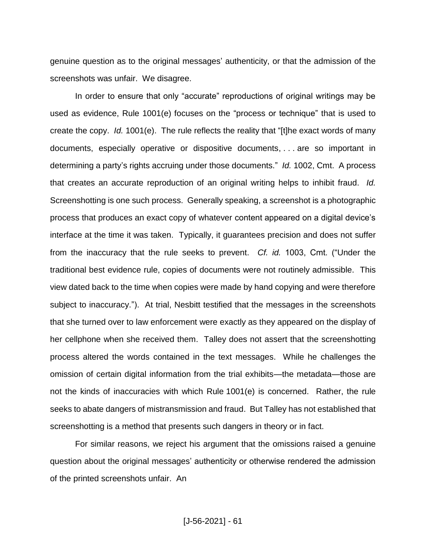genuine question as to the original messages' authenticity, or that the admission of the screenshots was unfair. We disagree.

In order to ensure that only "accurate" reproductions of original writings may be used as evidence, Rule 1001(e) focuses on the "process or technique" that is used to create the copy. *Id.* 1001(e). The rule reflects the reality that "[t]he exact words of many documents, especially operative or dispositive documents, . . . are so important in determining a party's rights accruing under those documents." *Id.* 1002, Cmt. A process that creates an accurate reproduction of an original writing helps to inhibit fraud. *Id.* Screenshotting is one such process. Generally speaking, a screenshot is a photographic process that produces an exact copy of whatever content appeared on a digital device's interface at the time it was taken. Typically, it guarantees precision and does not suffer from the inaccuracy that the rule seeks to prevent. *Cf. id.* 1003, Cmt. ("Under the traditional best evidence rule, copies of documents were not routinely admissible. This view dated back to the time when copies were made by hand copying and were therefore subject to inaccuracy."). At trial, Nesbitt testified that the messages in the screenshots that she turned over to law enforcement were exactly as they appeared on the display of her cellphone when she received them. Talley does not assert that the screenshotting process altered the words contained in the text messages. While he challenges the omission of certain digital information from the trial exhibits—the metadata—those are not the kinds of inaccuracies with which Rule 1001(e) is concerned. Rather, the rule seeks to abate dangers of mistransmission and fraud. But Talley has not established that screenshotting is a method that presents such dangers in theory or in fact.

For similar reasons, we reject his argument that the omissions raised a genuine question about the original messages' authenticity or otherwise rendered the admission of the printed screenshots unfair. An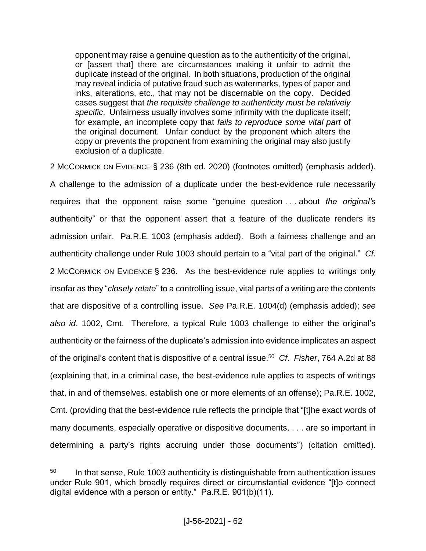opponent may raise a genuine question as to the authenticity of the original, or [assert that] there are circumstances making it unfair to admit the duplicate instead of the original. In both situations, production of the original may reveal indicia of putative fraud such as watermarks, types of paper and inks, alterations, etc., that may not be discernable on the copy. Decided cases suggest that *the requisite challenge to authenticity must be relatively specific*. Unfairness usually involves some infirmity with the duplicate itself; for example, an incomplete copy that *fails to reproduce some vital part* of the original document. Unfair conduct by the proponent which alters the copy or prevents the proponent from examining the original may also justify exclusion of a duplicate.

2 MCCORMICK ON EVIDENCE § 236 (8th ed. 2020) (footnotes omitted) (emphasis added). A challenge to the admission of a duplicate under the best-evidence rule necessarily requires that the opponent raise some "genuine question . . . about *the original's* authenticity" or that the opponent assert that a feature of the duplicate renders its admission unfair. Pa.R.E. 1003 (emphasis added). Both a fairness challenge and an authenticity challenge under Rule 1003 should pertain to a "vital part of the original." *Cf*. 2 MCCORMICK ON EVIDENCE § 236. As the best-evidence rule applies to writings only insofar as they "*closely relate*" to a controlling issue, vital parts of a writing are the contents that are dispositive of a controlling issue. *See* Pa.R.E. 1004(d) (emphasis added); *see also id*. 1002, Cmt. Therefore, a typical Rule 1003 challenge to either the original's authenticity or the fairness of the duplicate's admission into evidence implicates an aspect of the original's content that is dispositive of a central issue. <sup>50</sup> *Cf*. *Fisher*, 764 A.2d at 88 (explaining that, in a criminal case, the best-evidence rule applies to aspects of writings that, in and of themselves, establish one or more elements of an offense); Pa.R.E. 1002, Cmt. (providing that the best-evidence rule reflects the principle that "[t]he exact words of many documents, especially operative or dispositive documents, . . . are so important in determining a party's rights accruing under those documents") (citation omitted).

 $50$  In that sense, Rule 1003 authenticity is distinguishable from authentication issues under Rule 901, which broadly requires direct or circumstantial evidence "[t]o connect digital evidence with a person or entity." Pa.R.E. 901(b)(11).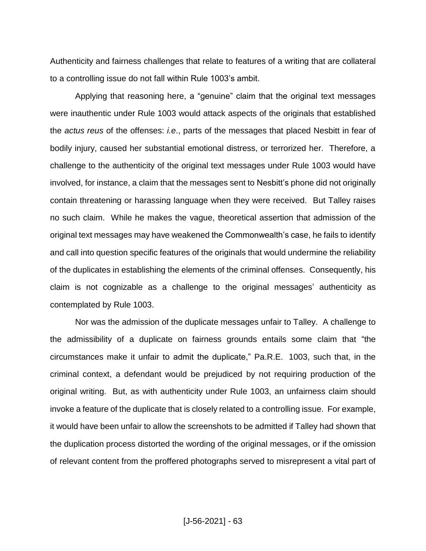Authenticity and fairness challenges that relate to features of a writing that are collateral to a controlling issue do not fall within Rule 1003's ambit.

Applying that reasoning here, a "genuine" claim that the original text messages were inauthentic under Rule 1003 would attack aspects of the originals that established the *actus reus* of the offenses: *i.e*., parts of the messages that placed Nesbitt in fear of bodily injury, caused her substantial emotional distress, or terrorized her. Therefore, a challenge to the authenticity of the original text messages under Rule 1003 would have involved, for instance, a claim that the messages sent to Nesbitt's phone did not originally contain threatening or harassing language when they were received. But Talley raises no such claim. While he makes the vague, theoretical assertion that admission of the original text messages may have weakened the Commonwealth's case, he fails to identify and call into question specific features of the originals that would undermine the reliability of the duplicates in establishing the elements of the criminal offenses. Consequently, his claim is not cognizable as a challenge to the original messages' authenticity as contemplated by Rule 1003.

Nor was the admission of the duplicate messages unfair to Talley. A challenge to the admissibility of a duplicate on fairness grounds entails some claim that "the circumstances make it unfair to admit the duplicate," Pa.R.E. 1003, such that, in the criminal context, a defendant would be prejudiced by not requiring production of the original writing. But, as with authenticity under Rule 1003, an unfairness claim should invoke a feature of the duplicate that is closely related to a controlling issue. For example, it would have been unfair to allow the screenshots to be admitted if Talley had shown that the duplication process distorted the wording of the original messages, or if the omission of relevant content from the proffered photographs served to misrepresent a vital part of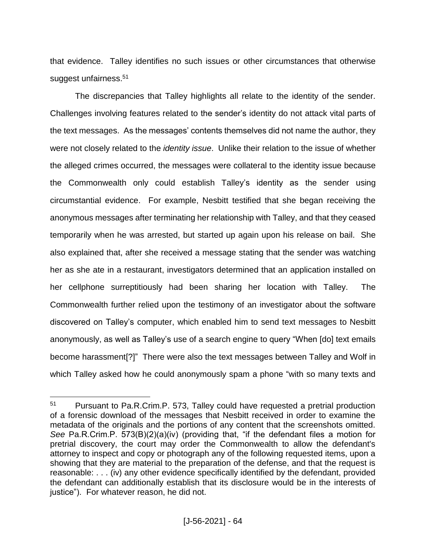that evidence. Talley identifies no such issues or other circumstances that otherwise suggest unfairness.<sup>51</sup>

The discrepancies that Talley highlights all relate to the identity of the sender. Challenges involving features related to the sender's identity do not attack vital parts of the text messages. As the messages' contents themselves did not name the author, they were not closely related to the *identity issue*. Unlike their relation to the issue of whether the alleged crimes occurred, the messages were collateral to the identity issue because the Commonwealth only could establish Talley's identity as the sender using circumstantial evidence. For example, Nesbitt testified that she began receiving the anonymous messages after terminating her relationship with Talley, and that they ceased temporarily when he was arrested, but started up again upon his release on bail. She also explained that, after she received a message stating that the sender was watching her as she ate in a restaurant, investigators determined that an application installed on her cellphone surreptitiously had been sharing her location with Talley. The Commonwealth further relied upon the testimony of an investigator about the software discovered on Talley's computer, which enabled him to send text messages to Nesbitt anonymously, as well as Talley's use of a search engine to query "When [do] text emails become harassment[?]" There were also the text messages between Talley and Wolf in which Talley asked how he could anonymously spam a phone "with so many texts and

<sup>51</sup> Pursuant to Pa.R.Crim.P. 573, Talley could have requested a pretrial production of a forensic download of the messages that Nesbitt received in order to examine the metadata of the originals and the portions of any content that the screenshots omitted. *See* Pa.R.Crim.P. 573(B)(2)(a)(iv) (providing that, "if the defendant files a motion for pretrial discovery, the court may order the Commonwealth to allow the defendant's attorney to inspect and copy or photograph any of the following requested items, upon a showing that they are material to the preparation of the defense, and that the request is reasonable: . . . (iv) any other evidence specifically identified by the defendant, provided the defendant can additionally establish that its disclosure would be in the interests of justice"). For whatever reason, he did not.